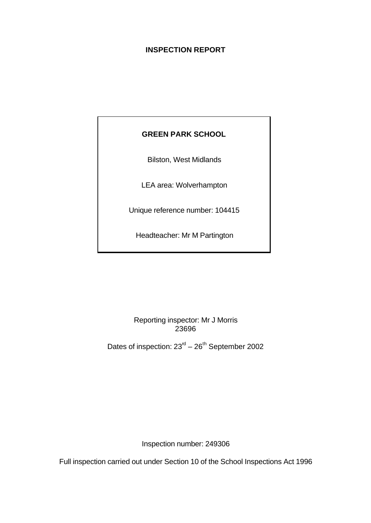# **INSPECTION REPORT**

# **GREEN PARK SCHOOL**

Bilston, West Midlands

LEA area: Wolverhampton

Unique reference number: 104415

Headteacher: Mr M Partington

Reporting inspector: Mr J Morris 23696

Dates of inspection:  $23<sup>rd</sup> - 26<sup>th</sup>$  September 2002

Inspection number: 249306

Full inspection carried out under Section 10 of the School Inspections Act 1996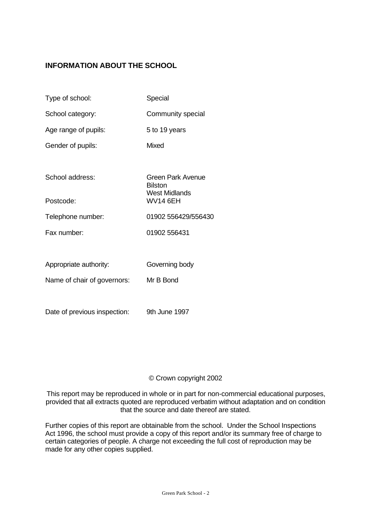# **INFORMATION ABOUT THE SCHOOL**

| Type of school:             | Special                                              |
|-----------------------------|------------------------------------------------------|
| School category:            | Community special                                    |
| Age range of pupils:        | 5 to 19 years                                        |
| Gender of pupils:           | Mixed                                                |
|                             |                                                      |
| School address:             | Green Park Avenue<br><b>Bilston</b><br>West Midlands |
| Postcode:                   | <b>WV14 6EH</b>                                      |
| Telephone number:           | 01902 556429/556430                                  |
| Fax number:                 | 01902 556431                                         |
|                             |                                                      |
| Appropriate authority:      | Governing body                                       |
| Name of chair of governors: | Mr B Bond                                            |
|                             |                                                      |

Date of previous inspection: 9th June 1997

## © Crown copyright 2002

This report may be reproduced in whole or in part for non-commercial educational purposes, provided that all extracts quoted are reproduced verbatim without adaptation and on condition that the source and date thereof are stated.

Further copies of this report are obtainable from the school. Under the School Inspections Act 1996, the school must provide a copy of this report and/or its summary free of charge to certain categories of people. A charge not exceeding the full cost of reproduction may be made for any other copies supplied.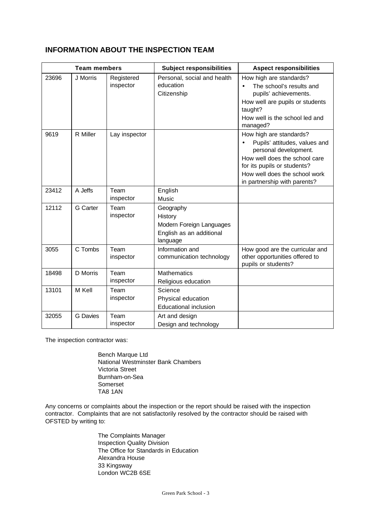## **INFORMATION ABOUT THE INSPECTION TEAM**

| <b>Team members</b> |                 | <b>Subject responsibilities</b> | <b>Aspect responsibilities</b>                                                           |                                                                                                                                                                                                                    |  |
|---------------------|-----------------|---------------------------------|------------------------------------------------------------------------------------------|--------------------------------------------------------------------------------------------------------------------------------------------------------------------------------------------------------------------|--|
| 23696               | J Morris        | Registered<br>inspector         | Personal, social and health<br>education<br>Citizenship                                  | How high are standards?<br>The school's results and<br>pupils' achievements.<br>How well are pupils or students<br>taught?<br>How well is the school led and<br>managed?                                           |  |
| 9619                | R Miller        | Lay inspector                   |                                                                                          | How high are standards?<br>Pupils' attitudes, values and<br>personal development.<br>How well does the school care<br>for its pupils or students?<br>How well does the school work<br>in partnership with parents? |  |
| 23412               | A Jeffs         | Team<br>inspector               | English<br>Music                                                                         |                                                                                                                                                                                                                    |  |
| 12112               | G Carter        | Team<br>inspector               | Geography<br>History<br>Modern Foreign Languages<br>English as an additional<br>language |                                                                                                                                                                                                                    |  |
| 3055                | C Tombs         | Team<br>inspector               | Information and<br>communication technology                                              | How good are the curricular and<br>other opportunities offered to<br>pupils or students?                                                                                                                           |  |
| 18498               | D Morris        | Team<br>inspector               | <b>Mathematics</b><br>Religious education                                                |                                                                                                                                                                                                                    |  |
| 13101               | M Kell          | Team<br>inspector               | Science<br>Physical education<br><b>Educational inclusion</b>                            |                                                                                                                                                                                                                    |  |
| 32055               | <b>G</b> Davies | Team<br>inspector               | Art and design<br>Design and technology                                                  |                                                                                                                                                                                                                    |  |

The inspection contractor was:

Bench Marque Ltd National Westminster Bank Chambers Victoria Street Burnham-on-Sea Somerset TA8 1AN

Any concerns or complaints about the inspection or the report should be raised with the inspection contractor. Complaints that are not satisfactorily resolved by the contractor should be raised with OFSTED by writing to:

> The Complaints Manager Inspection Quality Division The Office for Standards in Education Alexandra House 33 Kingsway London WC2B 6SE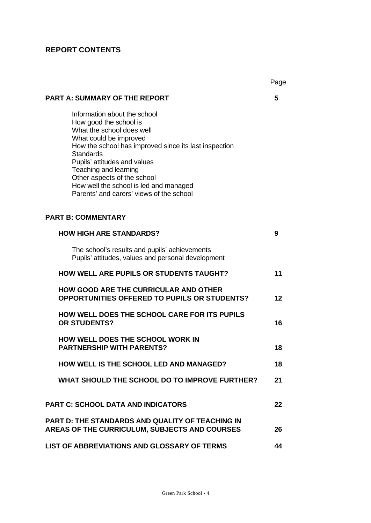# **REPORT CONTENTS**

|                                                                                                                                                                                                                                                                                                                                                                          | Page |
|--------------------------------------------------------------------------------------------------------------------------------------------------------------------------------------------------------------------------------------------------------------------------------------------------------------------------------------------------------------------------|------|
| <b>PART A: SUMMARY OF THE REPORT</b>                                                                                                                                                                                                                                                                                                                                     | 5    |
| Information about the school<br>How good the school is<br>What the school does well<br>What could be improved<br>How the school has improved since its last inspection<br><b>Standards</b><br>Pupils' attitudes and values<br>Teaching and learning<br>Other aspects of the school<br>How well the school is led and managed<br>Parents' and carers' views of the school |      |
| <b>PART B: COMMENTARY</b>                                                                                                                                                                                                                                                                                                                                                |      |
| <b>HOW HIGH ARE STANDARDS?</b>                                                                                                                                                                                                                                                                                                                                           | 9    |
| The school's results and pupils' achievements<br>Pupils' attitudes, values and personal development                                                                                                                                                                                                                                                                      |      |
| <b>HOW WELL ARE PUPILS OR STUDENTS TAUGHT?</b>                                                                                                                                                                                                                                                                                                                           | 11   |
| <b>HOW GOOD ARE THE CURRICULAR AND OTHER</b><br><b>OPPORTUNITIES OFFERED TO PUPILS OR STUDENTS?</b>                                                                                                                                                                                                                                                                      | 12   |
| HOW WELL DOES THE SCHOOL CARE FOR ITS PUPILS<br><b>OR STUDENTS?</b>                                                                                                                                                                                                                                                                                                      | 16   |
| <b>HOW WELL DOES THE SCHOOL WORK IN</b><br><b>PARTNERSHIP WITH PARENTS?</b>                                                                                                                                                                                                                                                                                              | 18   |
| <b>HOW WELL IS THE SCHOOL LED AND MANAGED?</b>                                                                                                                                                                                                                                                                                                                           | 18   |
| WHAT SHOULD THE SCHOOL DO TO IMPROVE FURTHER?                                                                                                                                                                                                                                                                                                                            | 21   |
| <b>PART C: SCHOOL DATA AND INDICATORS</b>                                                                                                                                                                                                                                                                                                                                | 22   |
| PART D: THE STANDARDS AND QUALITY OF TEACHING IN<br>AREAS OF THE CURRICULUM, SUBJECTS AND COURSES                                                                                                                                                                                                                                                                        | 26   |
| LIST OF ABBREVIATIONS AND GLOSSARY OF TERMS                                                                                                                                                                                                                                                                                                                              | 44   |

# $\mathbf{p}$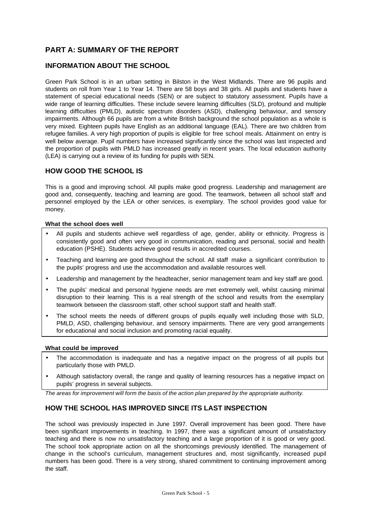# **PART A: SUMMARY OF THE REPORT**

## **INFORMATION ABOUT THE SCHOOL**

Green Park School is in an urban setting in Bilston in the West Midlands. There are 96 pupils and students on roll from Year 1 to Year 14. There are 58 boys and 38 girls. All pupils and students have a statement of special educational needs (SEN) or are subject to statutory assessment. Pupils have a wide range of learning difficulties. These include severe learning difficulties (SLD), profound and multiple learning difficulties (PMLD), autistic spectrum disorders (ASD), challenging behaviour, and sensory impairments. Although 66 pupils are from a white British background the school population as a whole is very mixed. Eighteen pupils have English as an additional language (EAL). There are two children from refugee families. A very high proportion of pupils is eligible for free school meals. Attainment on entry is well below average. Pupil numbers have increased significantly since the school was last inspected and the proportion of pupils with PMLD has increased greatly in recent years. The local education authority (LEA) is carrying out a review of its funding for pupils with SEN.

### **HOW GOOD THE SCHOOL IS**

This is a good and improving school. All pupils make good progress. Leadership and management are good and, consequently, teaching and learning are good. The teamwork, between all school staff and personnel employed by the LEA or other services, is exemplary. The school provides good value for money.

#### **What the school does well**

- All pupils and students achieve well regardless of age, gender, ability or ethnicity. Progress is consistently good and often very good in communication, reading and personal, social and health education (PSHE). Students achieve good results in accredited courses.
- Teaching and learning are good throughout the school. All staff make a significant contribution to the pupils' progress and use the accommodation and available resources well.
- Leadership and management by the headteacher, senior management team and key staff are good.
- The pupils' medical and personal hygiene needs are met extremely well, whilst causing minimal disruption to their learning. This is a real strength of the school and results from the exemplary teamwork between the classroom staff, other school support staff and health staff.
- The school meets the needs of different groups of pupils equally well including those with SLD, PMLD, ASD, challenging behaviour, and sensory impairments. There are very good arrangements for educational and social inclusion and promoting racial equality.

#### **What could be improved**

- The accommodation is inadequate and has a negative impact on the progress of all pupils but particularly those with PMLD.
- Although satisfactory overall, the range and quality of learning resources has a negative impact on pupils' progress in several subjects.

*The areas for improvement will form the basis of the action plan prepared by the appropriate authority.*

### **HOW THE SCHOOL HAS IMPROVED SINCE ITS LAST INSPECTION**

The school was previously inspected in June 1997. Overall improvement has been good. There have been significant improvements in teaching. In 1997, there was a significant amount of unsatisfactory teaching and there is now no unsatisfactory teaching and a large proportion of it is good or very good. The school took appropriate action on all the shortcomings previously identified. The management of change in the school's curriculum, management structures and, most significantly, increased pupil numbers has been good. There is a very strong, shared commitment to continuing improvement among the staff.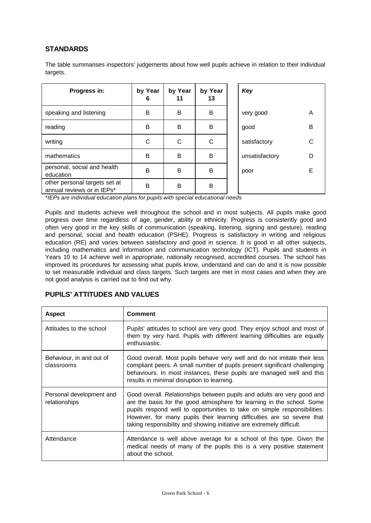## **STANDARDS**

The table summarises inspectors' judgements about how well pupils achieve in relation to their individual targets.

| Progress in:                                                | by Year<br>6 | by Year<br>11 | by Year<br>13 | Key            |   |
|-------------------------------------------------------------|--------------|---------------|---------------|----------------|---|
| speaking and listening                                      | B            | B             | B             | very good      | A |
| reading                                                     | B            | B             | B             | good           | в |
| writing                                                     | С            | С             | C             | satisfactory   |   |
| mathematics                                                 | B            | B             | B             | unsatisfactory | D |
| personal, social and health<br>education                    | B            | B             | B             | poor           | F |
| other personal targets set at<br>annual reviews or in IEPs* | B            | B             | B             |                |   |

*\*IEPs are individual education plans for pupils with special educational needs*

Pupils and students achieve well throughout the school and in most subjects. All pupils make good progress over time regardless of age, gender, ability or ethnicity. Progress is consistently good and often very good in the key skills of communication (speaking, listening, signing and gesture), reading and personal, social and health education (PSHE). Progress is satisfactory in writing and religious education (RE) and varies between satisfactory and good in science. It is good in all other subjects, including mathematics and information and communication technology (ICT). Pupils and students in Years 10 to 14 achieve well in appropriate, nationally recognised, accredited courses. The school has improved its procedures for assessing what pupils know, understand and can do and it is now possible to set measurable individual and class targets. Such targets are met in most cases and when they are not good analysis is carried out to find out why.

| <b>Aspect</b>                             | <b>Comment</b>                                                                                                                                                                                                                                                                                                                                                                    |
|-------------------------------------------|-----------------------------------------------------------------------------------------------------------------------------------------------------------------------------------------------------------------------------------------------------------------------------------------------------------------------------------------------------------------------------------|
| Attitudes to the school                   | Pupils' attitudes to school are very good. They enjoy school and most of<br>them try very hard. Pupils with different learning difficulties are equally<br>enthusiastic.                                                                                                                                                                                                          |
| Behaviour, in and out of<br>classrooms    | Good overall. Most pupils behave very well and do not imitate their less<br>compliant peers. A small number of pupils present significant challenging<br>behaviours. In most instances, these pupils are managed well and this<br>results in minimal disruption to learning.                                                                                                      |
| Personal development and<br>relationships | Good overall. Relationships between pupils and adults are very good and<br>are the basis for the good atmosphere for learning in the school. Some<br>pupils respond well to opportunities to take on simple responsibilities.<br>However, for many pupils their learning difficulties are so severe that<br>taking responsibility and showing initiative are extremely difficult. |
| Attendance                                | Attendance is well above average for a school of this type. Given the<br>medical needs of many of the pupils this is a very positive statement<br>about the school.                                                                                                                                                                                                               |

### **PUPILS' ATTITUDES AND VALUES**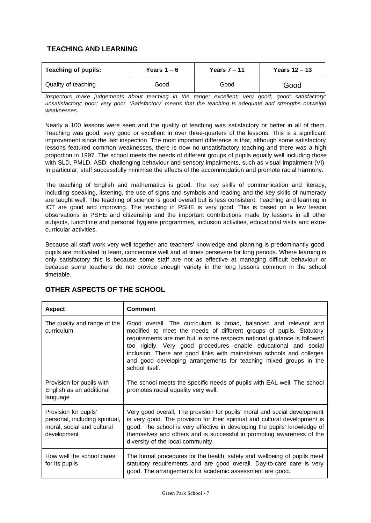## **TEACHING AND LEARNING**

| <b>Teaching of pupils:</b> | Years $1 - 6$ | Years $7 - 11$ | Years $12 - 13$ |
|----------------------------|---------------|----------------|-----------------|
| Quality of teaching        | Good          | Good           | Good            |

*Inspectors make judgements about teaching in the range: excellent; very good; good; satisfactory; unsatisfactory; poor; very poor. 'Satisfactory' means that the teaching is adequate and strengths outweigh weaknesses.*

Nearly a 100 lessons were seen and the quality of teaching was satisfactory or better in all of them. Teaching was good, very good or excellent in over three-quarters of the lessons. This is a significant improvement since the last inspection. The most important difference is that, although some satisfactory lessons featured common weaknesses, there is now no unsatisfactory teaching and there was a high proportion in 1997. The school meets the needs of different groups of pupils equally well including those with SLD, PMLD, ASD, challenging behaviour and sensory impairments, such as visual impairment (VI). In particular, staff successfully minimise the effects of the accommodation and promote racial harmony.

The teaching of English and mathematics is good. The key skills of communication and literacy, including speaking, listening, the use of signs and symbols and reading and the key skills of numeracy are taught well. The teaching of science is good overall but is less consistent. Teaching and learning in ICT are good and improving. The teaching in PSHE is very good. This is based on a few lesson observations in PSHE and citizenship and the important contributions made by lessons in all other subjects, lunchtime and personal hygiene programmes, inclusion activities, educational visits and extracurricular activities.

Because all staff work very well together and teachers' knowledge and planning is predominantly good, pupils are motivated to learn, concentrate well and at times persevere for long periods. Where learning is only satisfactory this is because some staff are not as effective at managing difficult behaviour or because some teachers do not provide enough variety in the long lessons common in the school timetable.

| <b>Aspect</b>                                                                                        | <b>Comment</b>                                                                                                                                                                                                                                                                                                                                                                                                                                       |
|------------------------------------------------------------------------------------------------------|------------------------------------------------------------------------------------------------------------------------------------------------------------------------------------------------------------------------------------------------------------------------------------------------------------------------------------------------------------------------------------------------------------------------------------------------------|
| The quality and range of the<br>curriculum                                                           | Good overall. The curriculum is broad, balanced and relevant and<br>modified to meet the needs of different groups of pupils. Statutory<br>requirements are met but in some respects national guidance is followed<br>too rigidly. Very good procedures enable educational and social<br>inclusion. There are good links with mainstream schools and colleges<br>and good developing arrangements for teaching mixed groups in the<br>school itself. |
| Provision for pupils with<br>English as an additional<br>language                                    | The school meets the specific needs of pupils with EAL well. The school<br>promotes racial equality very well.                                                                                                                                                                                                                                                                                                                                       |
| Provision for pupils'<br>personal, including spiritual,<br>moral, social and cultural<br>development | Very good overall. The provision for pupils' moral and social development<br>is very good. The provision for their spiritual and cultural development is<br>good. The school is very effective in developing the pupils' knowledge of<br>themselves and others and is successful in promoting awareness of the<br>diversity of the local community.                                                                                                  |
| How well the school cares<br>for its pupils                                                          | The formal procedures for the health, safety and wellbeing of pupils meet<br>statutory requirements and are good overall. Day-to-care care is very<br>good. The arrangements for academic assessment are good.                                                                                                                                                                                                                                       |

## **OTHER ASPECTS OF THE SCHOOL**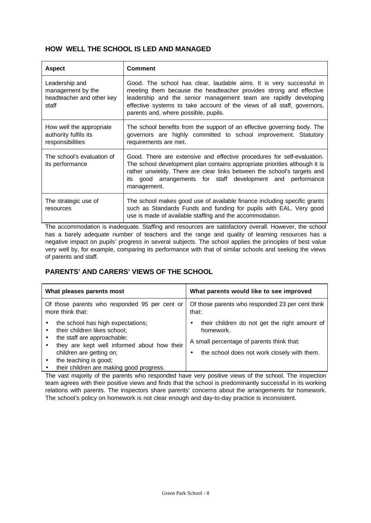## **HOW WELL THE SCHOOL IS LED AND MANAGED**

| <b>Aspect</b>                                                             | <b>Comment</b>                                                                                                                                                                                                                                                                                                                   |
|---------------------------------------------------------------------------|----------------------------------------------------------------------------------------------------------------------------------------------------------------------------------------------------------------------------------------------------------------------------------------------------------------------------------|
| Leadership and<br>management by the<br>headteacher and other key<br>staff | Good. The school has clear, laudable aims. It is very successful in<br>meeting them because the headteacher provides strong and effective<br>leadership and the senior management team are rapidly developing<br>effective systems to take account of the views of all staff, governors,<br>parents and, where possible, pupils. |
| How well the appropriate<br>authority fulfils its<br>responsibilities     | The school benefits from the support of an effective governing body. The<br>governors are highly committed to school improvement. Statutory<br>requirements are met.                                                                                                                                                             |
| The school's evaluation of<br>its performance                             | Good. There are extensive and effective procedures for self-evaluation.<br>The school development plan contains appropriate priorities although it is<br>rather unwieldy. There are clear links between the school's targets and<br>its good arrangements for staff development and performance<br>management.                   |
| The strategic use of<br>resources                                         | The school makes good use of available finance including specific grants<br>such as Standards Funds and funding for pupils with EAL. Very good<br>use is made of available staffing and the accommodation.                                                                                                                       |

The accommodation is inadequate. Staffing and resources are satisfactory overall. However, the school has a barely adequate number of teachers and the range and quality of learning resources has a negative impact on pupils' progress in several subjects. The school applies the principles of best value very well by, for example, comparing its performance with that of similar schools and seeking the views of parents and staff.

## **PARENTS' AND CARERS' VIEWS OF THE SCHOOL**

| What pleases parents most                                                                                                                                                                                                                        | What parents would like to see improved                                                                                                                |
|--------------------------------------------------------------------------------------------------------------------------------------------------------------------------------------------------------------------------------------------------|--------------------------------------------------------------------------------------------------------------------------------------------------------|
| Of those parents who responded 95 per cent or<br>more think that:                                                                                                                                                                                | Of those parents who responded 23 per cent think<br>that:                                                                                              |
| the school has high expectations;<br>their children likes school;<br>the staff are approachable;<br>they are kept well informed about how their<br>children are getting on;<br>the teaching is good;<br>their children are making good progress. | their children do not get the right amount of<br>homework.<br>A small percentage of parents think that:<br>the school does not work closely with them. |

The vast majority of the parents who responded have very positive views of the school. The inspection team agrees with their positive views and finds that the school is predominantly successful in its working relations with parents. The inspectors share parents' concerns about the arrangements for homework. The school's policy on homework is not clear enough and day-to-day practice is inconsistent.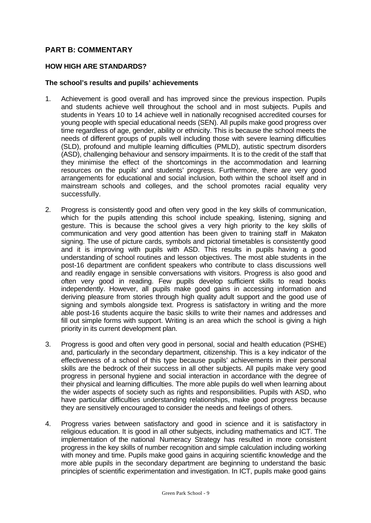## **PART B: COMMENTARY**

#### **HOW HIGH ARE STANDARDS?**

#### **The school's results and pupils' achievements**

- 1. Achievement is good overall and has improved since the previous inspection. Pupils and students achieve well throughout the school and in most subjects. Pupils and students in Years 10 to 14 achieve well in nationally recognised accredited courses for young people with special educational needs (SEN). All pupils make good progress over time regardless of age, gender, ability or ethnicity. This is because the school meets the needs of different groups of pupils well including those with severe learning difficulties (SLD), profound and multiple learning difficulties (PMLD), autistic spectrum disorders (ASD), challenging behaviour and sensory impairments. It is to the credit of the staff that they minimise the effect of the shortcomings in the accommodation and learning resources on the pupils' and students' progress. Furthermore, there are very good arrangements for educational and social inclusion, both within the school itself and in mainstream schools and colleges, and the school promotes racial equality very successfully.
- 2. Progress is consistently good and often very good in the key skills of communication, which for the pupils attending this school include speaking, listening, signing and gesture. This is because the school gives a very high priority to the key skills of communication and very good attention has been given to training staff in Makaton signing. The use of picture cards, symbols and pictorial timetables is consistently good and it is improving with pupils with ASD. This results in pupils having a good understanding of school routines and lesson objectives. The most able students in the post-16 department are confident speakers who contribute to class discussions well and readily engage in sensible conversations with visitors. Progress is also good and often very good in reading. Few pupils develop sufficient skills to read books independently. However, all pupils make good gains in accessing information and deriving pleasure from stories through high quality adult support and the good use of signing and symbols alongside text. Progress is satisfactory in writing and the more able post-16 students acquire the basic skills to write their names and addresses and fill out simple forms with support. Writing is an area which the school is giving a high priority in its current development plan.
- 3. Progress is good and often very good in personal, social and health education (PSHE) and, particularly in the secondary department, citizenship. This is a key indicator of the effectiveness of a school of this type because pupils' achievements in their personal skills are the bedrock of their success in all other subjects. All pupils make very good progress in personal hygiene and social interaction in accordance with the degree of their physical and learning difficulties. The more able pupils do well when learning about the wider aspects of society such as rights and responsibilities. Pupils with ASD, who have particular difficulties understanding relationships, make good progress because they are sensitively encouraged to consider the needs and feelings of others.
- 4. Progress varies between satisfactory and good in science and it is satisfactory in religious education. It is good in all other subjects, including mathematics and ICT. The implementation of the national Numeracy Strategy has resulted in more consistent progress in the key skills of number recognition and simple calculation including working with money and time. Pupils make good gains in acquiring scientific knowledge and the more able pupils in the secondary department are beginning to understand the basic principles of scientific experimentation and investigation. In ICT, pupils make good gains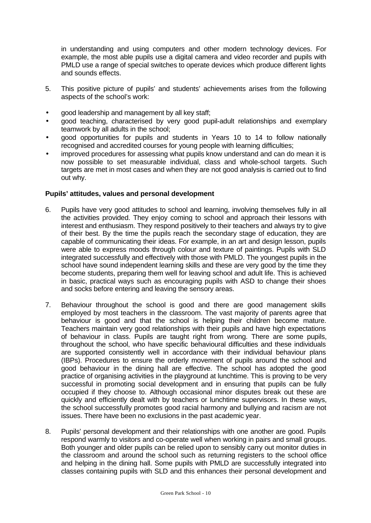in understanding and using computers and other modern technology devices. For example, the most able pupils use a digital camera and video recorder and pupils with PMLD use a range of special switches to operate devices which produce different lights and sounds effects.

- 5. This positive picture of pupils' and students' achievements arises from the following aspects of the school's work:
- good leadership and management by all key staff;
- good teaching, characterised by very good pupil-adult relationships and exemplary teamwork by all adults in the school;
- good opportunities for pupils and students in Years 10 to 14 to follow nationally recognised and accredited courses for young people with learning difficulties;
- improved procedures for assessing what pupils know understand and can do mean it is now possible to set measurable individual, class and whole-school targets. Such targets are met in most cases and when they are not good analysis is carried out to find out why.

### **Pupils' attitudes, values and personal development**

- 6. Pupils have very good attitudes to school and learning, involving themselves fully in all the activities provided. They enjoy coming to school and approach their lessons with interest and enthusiasm. They respond positively to their teachers and always try to give of their best. By the time the pupils reach the secondary stage of education, they are capable of communicating their ideas. For example, in an art and design lesson, pupils were able to express moods through colour and texture of paintings. Pupils with SLD integrated successfully and effectively with those with PMLD. The youngest pupils in the school have sound independent learning skills and these are very good by the time they become students, preparing them well for leaving school and adult life. This is achieved in basic, practical ways such as encouraging pupils with ASD to change their shoes and socks before entering and leaving the sensory areas.
- 7. Behaviour throughout the school is good and there are good management skills employed by most teachers in the classroom. The vast majority of parents agree that behaviour is good and that the school is helping their children become mature. Teachers maintain very good relationships with their pupils and have high expectations of behaviour in class. Pupils are taught right from wrong. There are some pupils, throughout the school, who have specific behavioural difficulties and these individuals are supported consistently well in accordance with their individual behaviour plans (IBPs). Procedures to ensure the orderly movement of pupils around the school and good behaviour in the dining hall are effective. The school has adopted the good practice of organising activities in the playground at lunchtime. This is proving to be very successful in promoting social development and in ensuring that pupils can be fully occupied if they choose to. Although occasional minor disputes break out these are quickly and efficiently dealt with by teachers or lunchtime supervisors. In these ways, the school successfully promotes good racial harmony and bullying and racism are not issues. There have been no exclusions in the past academic year.
- 8. Pupils' personal development and their relationships with one another are good. Pupils respond warmly to visitors and co-operate well when working in pairs and small groups. Both younger and older pupils can be relied upon to sensibly carry out monitor duties in the classroom and around the school such as returning registers to the school office and helping in the dining hall. Some pupils with PMLD are successfully integrated into classes containing pupils with SLD and this enhances their personal development and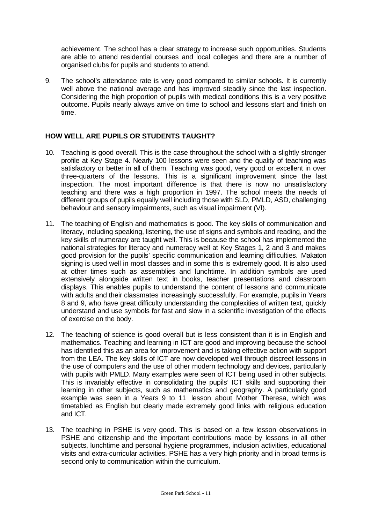achievement. The school has a clear strategy to increase such opportunities. Students are able to attend residential courses and local colleges and there are a number of organised clubs for pupils and students to attend.

9. The school's attendance rate is very good compared to similar schools. It is currently well above the national average and has improved steadily since the last inspection. Considering the high proportion of pupils with medical conditions this is a very positive outcome. Pupils nearly always arrive on time to school and lessons start and finish on time.

## **HOW WELL ARE PUPILS OR STUDENTS TAUGHT?**

- 10. Teaching is good overall. This is the case throughout the school with a slightly stronger profile at Key Stage 4. Nearly 100 lessons were seen and the quality of teaching was satisfactory or better in all of them. Teaching was good, very good or excellent in over three-quarters of the lessons. This is a significant improvement since the last inspection. The most important difference is that there is now no unsatisfactory teaching and there was a high proportion in 1997. The school meets the needs of different groups of pupils equally well including those with SLD, PMLD, ASD, challenging behaviour and sensory impairments, such as visual impairment (VI).
- 11. The teaching of English and mathematics is good. The key skills of communication and literacy, including speaking, listening, the use of signs and symbols and reading, and the key skills of numeracy are taught well. This is because the school has implemented the national strategies for literacy and numeracy well at Key Stages 1, 2 and 3 and makes good provision for the pupils' specific communication and learning difficulties. Makaton signing is used well in most classes and in some this is extremely good. It is also used at other times such as assemblies and lunchtime. In addition symbols are used extensively alongside written text in books, teacher presentations and classroom displays. This enables pupils to understand the content of lessons and communicate with adults and their classmates increasingly successfully. For example, pupils in Years 8 and 9, who have great difficulty understanding the complexities of written text, quickly understand and use symbols for fast and slow in a scientific investigation of the effects of exercise on the body.
- 12. The teaching of science is good overall but is less consistent than it is in English and mathematics. Teaching and learning in ICT are good and improving because the school has identified this as an area for improvement and is taking effective action with support from the LEA. The key skills of ICT are now developed well through discreet lessons in the use of computers and the use of other modern technology and devices, particularly with pupils with PMLD. Many examples were seen of ICT being used in other subjects. This is invariably effective in consolidating the pupils' ICT skills and supporting their learning in other subjects, such as mathematics and geography. A particularly good example was seen in a Years 9 to 11 lesson about Mother Theresa, which was timetabled as English but clearly made extremely good links with religious education and ICT.
- 13. The teaching in PSHE is very good. This is based on a few lesson observations in PSHE and citizenship and the important contributions made by lessons in all other subjects, lunchtime and personal hygiene programmes, inclusion activities, educational visits and extra-curricular activities. PSHE has a very high priority and in broad terms is second only to communication within the curriculum.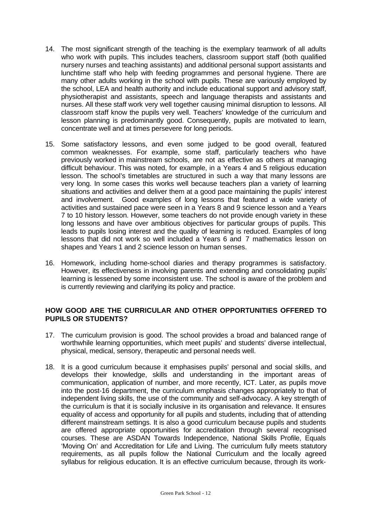- 14. The most significant strength of the teaching is the exemplary teamwork of all adults who work with pupils. This includes teachers, classroom support staff (both qualified nursery nurses and teaching assistants) and additional personal support assistants and lunchtime staff who help with feeding programmes and personal hygiene. There are many other adults working in the school with pupils. These are variously employed by the school, LEA and health authority and include educational support and advisory staff, physiotherapist and assistants, speech and language therapists and assistants and nurses. All these staff work very well together causing minimal disruption to lessons. All classroom staff know the pupils very well. Teachers' knowledge of the curriculum and lesson planning is predominantly good. Consequently, pupils are motivated to learn, concentrate well and at times persevere for long periods.
- 15. Some satisfactory lessons, and even some judged to be good overall, featured common weaknesses. For example, some staff, particularly teachers who have previously worked in mainstream schools, are not as effective as others at managing difficult behaviour. This was noted, for example, in a Years 4 and 5 religious education lesson. The school's timetables are structured in such a way that many lessons are very long. In some cases this works well because teachers plan a variety of learning situations and activities and deliver them at a good pace maintaining the pupils' interest and involvement. Good examples of long lessons that featured a wide variety of activities and sustained pace were seen in a Years 8 and 9 science lesson and a Years 7 to 10 history lesson. However, some teachers do not provide enough variety in these long lessons and have over ambitious objectives for particular groups of pupils. This leads to pupils losing interest and the quality of learning is reduced. Examples of long lessons that did not work so well included a Years 6 and 7 mathematics lesson on shapes and Years 1 and 2 science lesson on human senses.
- 16. Homework, including home-school diaries and therapy programmes is satisfactory. However, its effectiveness in involving parents and extending and consolidating pupils' learning is lessened by some inconsistent use. The school is aware of the problem and is currently reviewing and clarifying its policy and practice.

## **HOW GOOD ARE THE CURRICULAR AND OTHER OPPORTUNITIES OFFERED TO PUPILS OR STUDENTS?**

- 17. The curriculum provision is good. The school provides a broad and balanced range of worthwhile learning opportunities, which meet pupils' and students' diverse intellectual, physical, medical, sensory, therapeutic and personal needs well.
- 18. It is a good curriculum because it emphasises pupils' personal and social skills, and develops their knowledge, skills and understanding in the important areas of communication, application of number, and more recently, ICT. Later, as pupils move into the post-16 department, the curriculum emphasis changes appropriately to that of independent living skills, the use of the community and self-advocacy. A key strength of the curriculum is that it is socially inclusive in its organisation and relevance. It ensures equality of access and opportunity for all pupils and students, including that of attending different mainstream settings. It is also a good curriculum because pupils and students are offered appropriate opportunities for accreditation through several recognised courses. These are ASDAN Towards Independence, National Skills Profile, Equals 'Moving On' and Accreditation for Life and Living. The curriculum fully meets statutory requirements, as all pupils follow the National Curriculum and the locally agreed syllabus for religious education. It is an effective curriculum because, through its work-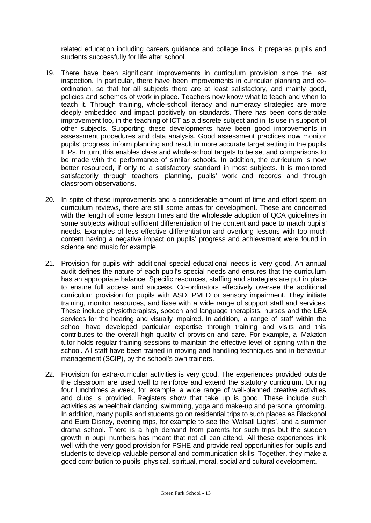related education including careers guidance and college links, it prepares pupils and students successfully for life after school.

- 19. There have been significant improvements in curriculum provision since the last inspection. In particular, there have been improvements in curricular planning and coordination, so that for all subjects there are at least satisfactory, and mainly good, policies and schemes of work in place. Teachers now know what to teach and when to teach it. Through training, whole-school literacy and numeracy strategies are more deeply embedded and impact positively on standards. There has been considerable improvement too, in the teaching of ICT as a discrete subject and in its use in support of other subjects. Supporting these developments have been good improvements in assessment procedures and data analysis. Good assessment practices now monitor pupils' progress, inform planning and result in more accurate target setting in the pupils IEPs. In turn, this enables class and whole-school targets to be set and comparisons to be made with the performance of similar schools. In addition, the curriculum is now better resourced, if only to a satisfactory standard in most subjects. It is monitored satisfactorily through teachers' planning, pupils' work and records and through classroom observations.
- 20. In spite of these improvements and a considerable amount of time and effort spent on curriculum reviews, there are still some areas for development. These are concerned with the length of some lesson times and the wholesale adoption of QCA guidelines in some subjects without sufficient differentiation of the content and pace to match pupils' needs. Examples of less effective differentiation and overlong lessons with too much content having a negative impact on pupils' progress and achievement were found in science and music for example.
- 21. Provision for pupils with additional special educational needs is very good. An annual audit defines the nature of each pupil's special needs and ensures that the curriculum has an appropriate balance. Specific resources, staffing and strategies are put in place to ensure full access and success. Co-ordinators effectively oversee the additional curriculum provision for pupils with ASD, PMLD or sensory impairment. They initiate training, monitor resources, and liase with a wide range of support staff and services. These include physiotherapists, speech and language therapists, nurses and the LEA services for the hearing and visually impaired. In addition, a range of staff within the school have developed particular expertise through training and visits and this contributes to the overall high quality of provision and care. For example, a Makaton tutor holds regular training sessions to maintain the effective level of signing within the school. All staff have been trained in moving and handling techniques and in behaviour management (SCIP), by the school's own trainers.
- 22. Provision for extra-curricular activities is very good. The experiences provided outside the classroom are used well to reinforce and extend the statutory curriculum. During four lunchtimes a week, for example, a wide range of well-planned creative activities and clubs is provided. Registers show that take up is good. These include such activities as wheelchair dancing, swimming, yoga and make-up and personal grooming. In addition, many pupils and students go on residential trips to such places as Blackpool and Euro Disney, evening trips, for example to see the 'Walsall Lights', and a summer drama school. There is a high demand from parents for such trips but the sudden growth in pupil numbers has meant that not all can attend. All these experiences link well with the very good provision for PSHE and provide real opportunities for pupils and students to develop valuable personal and communication skills. Together, they make a good contribution to pupils' physical, spiritual, moral, social and cultural development.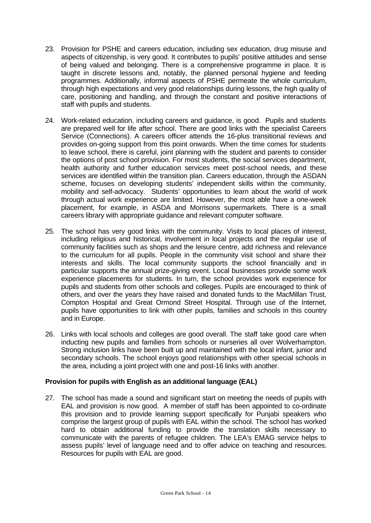- 23. Provision for PSHE and careers education, including sex education, drug misuse and aspects of citizenship, is very good. It contributes to pupils' positive attitudes and sense of being valued and belonging. There is a comprehensive programme in place. It is taught in discrete lessons and, notably, the planned personal hygiene and feeding programmes. Additionally, informal aspects of PSHE permeate the whole curriculum, through high expectations and very good relationships during lessons, the high quality of care, positioning and handling, and through the constant and positive interactions of staff with pupils and students.
- 24. Work-related education, including careers and guidance, is good. Pupils and students are prepared well for life after school. There are good links with the specialist Careers Service (Connections). A careers officer attends the 16-plus transitional reviews and provides on-going support from this point onwards. When the time comes for students to leave school, there is careful, joint planning with the student and parents to consider the options of post school provision. For most students, the social services department, health authority and further education services meet post-school needs, and these services are identified within the transition plan. Careers education, through the ASDAN scheme, focuses on developing students' independent skills within the community, mobility and self-advocacy. Students' opportunities to learn about the world of work through actual work experience are limited. However, the most able have a one-week placement, for example, in ASDA and Morrisons supermarkets. There is a small careers library with appropriate guidance and relevant computer software.
- 25. The school has very good links with the community. Visits to local places of interest, including religious and historical, involvement in local projects and the regular use of community facilities such as shops and the leisure centre, add richness and relevance to the curriculum for all pupils. People in the community visit school and share their interests and skills. The local community supports the school financially and in particular supports the annual prize-giving event. Local businesses provide some work experience placements for students. In turn, the school provides work experience for pupils and students from other schools and colleges. Pupils are encouraged to think of others, and over the years they have raised and donated funds to the MacMillan Trust, Compton Hospital and Great Ormond Street Hospital. Through use of the Internet, pupils have opportunities to link with other pupils, families and schools in this country and in Europe.
- 26. Links with local schools and colleges are good overall. The staff take good care when inducting new pupils and families from schools or nurseries all over Wolverhampton. Strong inclusion links have been built up and maintained with the local infant, junior and secondary schools. The school enjoys good relationships with other special schools in the area, including a joint project with one and post-16 links with another.

### **Provision for pupils with English as an additional language (EAL)**

27. The school has made a sound and significant start on meeting the needs of pupils with EAL and provision is now good. A member of staff has been appointed to co-ordinate this provision and to provide learning support specifically for Punjabi speakers who comprise the largest group of pupils with EAL within the school. The school has worked hard to obtain additional funding to provide the translation skills necessary to communicate with the parents of refugee children. The LEA's EMAG service helps to assess pupils' level of language need and to offer advice on teaching and resources. Resources for pupils with EAL are good.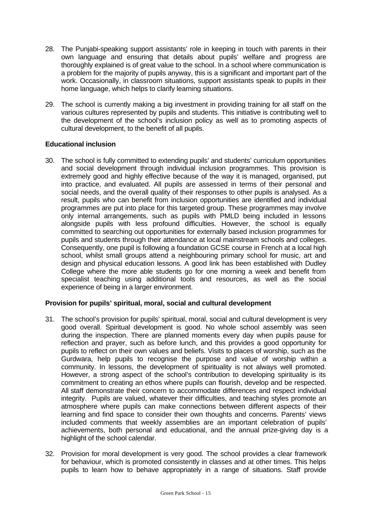- 28. The Punjabi-speaking support assistants' role in keeping in touch with parents in their own language and ensuring that details about pupils' welfare and progress are thoroughly explained is of great value to the school. In a school where communication is a problem for the majority of pupils anyway, this is a significant and important part of the work. Occasionally, in classroom situations, support assistants speak to pupils in their home language, which helps to clarify learning situations.
- 29. The school is currently making a big investment in providing training for all staff on the various cultures represented by pupils and students. This initiative is contributing well to the development of the school's inclusion policy as well as to promoting aspects of cultural development, to the benefit of all pupils.

### **Educational inclusion**

30. The school is fully committed to extending pupils' and students' curriculum opportunities and social development through individual inclusion programmes. This provision is extremely good and highly effective because of the way it is managed, organised, put into practice, and evaluated. All pupils are assessed in terms of their personal and social needs, and the overall quality of their responses to other pupils is analysed. As a result, pupils who can benefit from inclusion opportunities are identified and individual programmes are put into place for this targeted group. These programmes may involve only internal arrangements, such as pupils with PMLD being included in lessons alongside pupils with less profound difficulties. However, the school is equally committed to searching out opportunities for externally based inclusion programmes for pupils and students through their attendance at local mainstream schools and colleges. Consequently, one pupil is following a foundation GCSE course in French at a local high school, whilst small groups attend a neighbouring primary school for music, art and design and physical education lessons. A good link has been established with Dudley College where the more able students go for one morning a week and benefit from specialist teaching using additional tools and resources, as well as the social experience of being in a larger environment.

## **Provision for pupils' spiritual, moral, social and cultural development**

- 31. The school's provision for pupils' spiritual, moral, social and cultural development is very good overall. Spiritual development is good. No whole school assembly was seen during the inspection. There are planned moments every day when pupils pause for reflection and prayer, such as before lunch, and this provides a good opportunity for pupils to reflect on their own values and beliefs. Visits to places of worship, such as the Gurdwara, help pupils to recognise the purpose and value of worship within a community. In lessons, the development of spirituality is not always well promoted. However, a strong aspect of the school's contribution to developing spirituality is its commitment to creating an ethos where pupils can flourish, develop and be respected. All staff demonstrate their concern to accommodate differences and respect individual integrity. Pupils are valued, whatever their difficulties, and teaching styles promote an atmosphere where pupils can make connections between different aspects of their learning and find space to consider their own thoughts and concerns. Parents' views included comments that weekly assemblies are an important celebration of pupils' achievements, both personal and educational, and the annual prize-giving day is a highlight of the school calendar.
- 32. Provision for moral development is very good. The school provides a clear framework for behaviour, which is promoted consistently in classes and at other times. This helps pupils to learn how to behave appropriately in a range of situations. Staff provide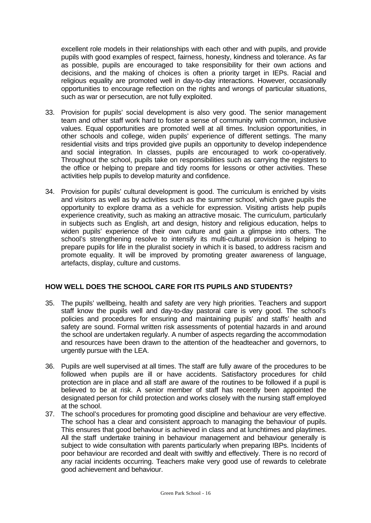excellent role models in their relationships with each other and with pupils, and provide pupils with good examples of respect, fairness, honesty, kindness and tolerance. As far as possible, pupils are encouraged to take responsibility for their own actions and decisions, and the making of choices is often a priority target in IEPs. Racial and religious equality are promoted well in day-to-day interactions. However, occasionally opportunities to encourage reflection on the rights and wrongs of particular situations, such as war or persecution, are not fully exploited.

- 33. Provision for pupils' social development is also very good. The senior management team and other staff work hard to foster a sense of community with common, inclusive values. Equal opportunities are promoted well at all times. Inclusion opportunities, in other schools and college, widen pupils' experience of different settings. The many residential visits and trips provided give pupils an opportunity to develop independence and social integration. In classes, pupils are encouraged to work co-operatively. Throughout the school, pupils take on responsibilities such as carrying the registers to the office or helping to prepare and tidy rooms for lessons or other activities. These activities help pupils to develop maturity and confidence.
- 34. Provision for pupils' cultural development is good. The curriculum is enriched by visits and visitors as well as by activities such as the summer school, which gave pupils the opportunity to explore drama as a vehicle for expression. Visiting artists help pupils experience creativity, such as making an attractive mosaic. The curriculum, particularly in subjects such as English, art and design, history and religious education, helps to widen pupils' experience of their own culture and gain a glimpse into others. The school's strengthening resolve to intensify its multi-cultural provision is helping to prepare pupils for life in the pluralist society in which it is based, to address racism and promote equality. It will be improved by promoting greater awareness of language, artefacts, display, culture and customs.

## **HOW WELL DOES THE SCHOOL CARE FOR ITS PUPILS AND STUDENTS?**

- 35. The pupils' wellbeing, health and safety are very high priorities. Teachers and support staff know the pupils well and day-to-day pastoral care is very good. The school's policies and procedures for ensuring and maintaining pupils' and staffs' health and safety are sound. Formal written risk assessments of potential hazards in and around the school are undertaken regularly. A number of aspects regarding the accommodation and resources have been drawn to the attention of the headteacher and governors, to urgently pursue with the LEA.
- 36. Pupils are well supervised at all times. The staff are fully aware of the procedures to be followed when pupils are ill or have accidents. Satisfactory procedures for child protection are in place and all staff are aware of the routines to be followed if a pupil is believed to be at risk. A senior member of staff has recently been appointed the designated person for child protection and works closely with the nursing staff employed at the school.
- 37. The school's procedures for promoting good discipline and behaviour are very effective. The school has a clear and consistent approach to managing the behaviour of pupils. This ensures that good behaviour is achieved in class and at lunchtimes and playtimes. All the staff undertake training in behaviour management and behaviour generally is subject to wide consultation with parents particularly when preparing IBPs. Incidents of poor behaviour are recorded and dealt with swiftly and effectively. There is no record of any racial incidents occurring. Teachers make very good use of rewards to celebrate good achievement and behaviour.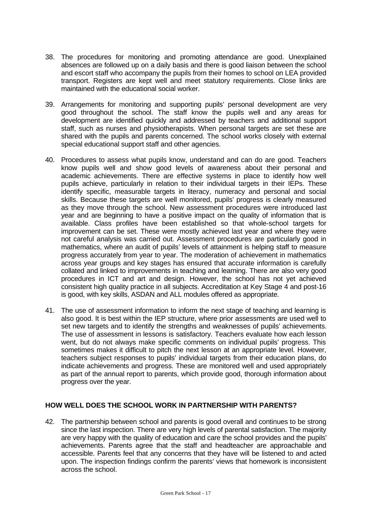- 38. The procedures for monitoring and promoting attendance are good. Unexplained absences are followed up on a daily basis and there is good liaison between the school and escort staff who accompany the pupils from their homes to school on LEA provided transport. Registers are kept well and meet statutory requirements. Close links are maintained with the educational social worker.
- 39. Arrangements for monitoring and supporting pupils' personal development are very good throughout the school. The staff know the pupils well and any areas for development are identified quickly and addressed by teachers and additional support staff, such as nurses and physiotherapists. When personal targets are set these are shared with the pupils and parents concerned. The school works closely with external special educational support staff and other agencies.
- 40. Procedures to assess what pupils know, understand and can do are good. Teachers know pupils well and show good levels of awareness about their personal and academic achievements. There are effective systems in place to identify how well pupils achieve, particularly in relation to their individual targets in their IEPs. These identify specific, measurable targets in literacy, numeracy and personal and social skills. Because these targets are well monitored, pupils' progress is clearly measured as they move through the school. New assessment procedures were introduced last year and are beginning to have a positive impact on the quality of information that is available. Class profiles have been established so that whole-school targets for improvement can be set. These were mostly achieved last year and where they were not careful analysis was carried out. Assessment procedures are particularly good in mathematics, where an audit of pupils' levels of attainment is helping staff to measure progress accurately from year to year. The moderation of achievement in mathematics across year groups and key stages has ensured that accurate information is carefully collated and linked to improvements in teaching and learning. There are also very good procedures in ICT and art and design. However, the school has not yet achieved consistent high quality practice in all subjects. Accreditation at Key Stage 4 and post-16 is good, with key skills, ASDAN and ALL modules offered as appropriate.
- 41. The use of assessment information to inform the next stage of teaching and learning is also good. It is best within the IEP structure, where prior assessments are used well to set new targets and to identify the strengths and weaknesses of pupils' achievements. The use of assessment in lessons is satisfactory. Teachers evaluate how each lesson went, but do not always make specific comments on individual pupils' progress. This sometimes makes it difficult to pitch the next lesson at an appropriate level. However, teachers subject responses to pupils' individual targets from their education plans, do indicate achievements and progress. These are monitored well and used appropriately as part of the annual report to parents, which provide good, thorough information about progress over the year.

### **HOW WELL DOES THE SCHOOL WORK IN PARTNERSHIP WITH PARENTS?**

42. The partnership between school and parents is good overall and continues to be strong since the last inspection. There are very high levels of parental satisfaction. The majority are very happy with the quality of education and care the school provides and the pupils' achievements. Parents agree that the staff and headteacher are approachable and accessible. Parents feel that any concerns that they have will be listened to and acted upon. The inspection findings confirm the parents' views that homework is inconsistent across the school.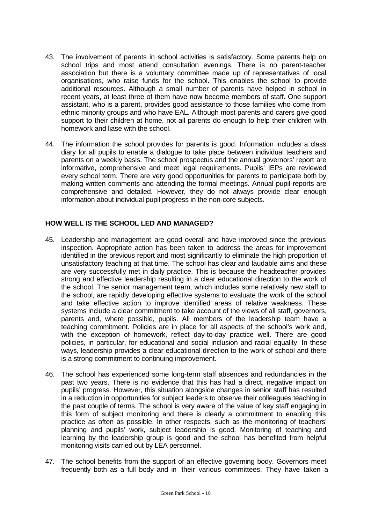- 43. The involvement of parents in school activities is satisfactory. Some parents help on school trips and most attend consultation evenings. There is no parent-teacher association but there is a voluntary committee made up of representatives of local organisations, who raise funds for the school. This enables the school to provide additional resources. Although a small number of parents have helped in school in recent years, at least three of them have now become members of staff. One support assistant, who is a parent, provides good assistance to those families who come from ethnic minority groups and who have EAL. Although most parents and carers give good support to their children at home, not all parents do enough to help their children with homework and liase with the school.
- 44. The information the school provides for parents is good. Information includes a class diary for all pupils to enable a dialogue to take place between individual teachers and parents on a weekly basis. The school prospectus and the annual governors' report are informative, comprehensive and meet legal requirements. Pupils' IEPs are reviewed every school term. There are very good opportunities for parents to participate both by making written comments and attending the formal meetings. Annual pupil reports are comprehensive and detailed. However, they do not always provide clear enough information about individual pupil progress in the non-core subjects.

## **HOW WELL IS THE SCHOOL LED AND MANAGED?**

- 45. Leadership and management are good overall and have improved since the previous inspection. Appropriate action has been taken to address the areas for improvement identified in the previous report and most significantly to eliminate the high proportion of unsatisfactory teaching at that time. The school has clear and laudable aims and these are very successfully met in daily practice. This is because the headteacher provides strong and effective leadership resulting in a clear educational direction to the work of the school. The senior management team, which includes some relatively new staff to the school, are rapidly developing effective systems to evaluate the work of the school and take effective action to improve identified areas of relative weakness. These systems include a clear commitment to take account of the views of all staff, governors, parents and, where possible, pupils. All members of the leadership team have a teaching commitment. Policies are in place for all aspects of the school's work and, with the exception of homework, reflect day-to-day practice well. There are good policies, in particular, for educational and social inclusion and racial equality. In these ways, leadership provides a clear educational direction to the work of school and there is a strong commitment to continuing improvement.
- 46. The school has experienced some long-term staff absences and redundancies in the past two years. There is no evidence that this has had a direct, negative impact on pupils' progress. However, this situation alongside changes in senior staff has resulted in a reduction in opportunities for subject leaders to observe their colleagues teaching in the past couple of terms. The school is very aware of the value of key staff engaging in this form of subject monitoring and there is clearly a commitment to enabling this practice as often as possible. In other respects, such as the monitoring of teachers' planning and pupils' work, subject leadership is good. Monitoring of teaching and learning by the leadership group is good and the school has benefited from helpful monitoring visits carried out by LEA personnel.
- 47. The school benefits from the support of an effective governing body. Governors meet frequently both as a full body and in their various committees. They have taken a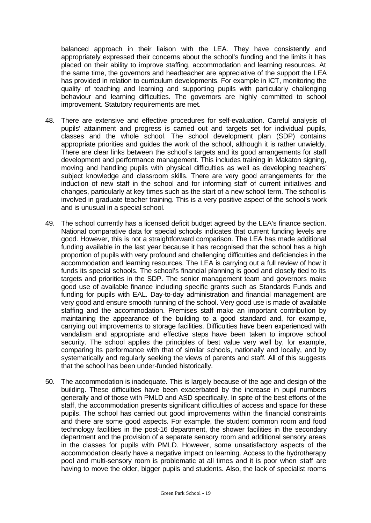balanced approach in their liaison with the LEA. They have consistently and appropriately expressed their concerns about the school's funding and the limits it has placed on their ability to improve staffing, accommodation and learning resources. At the same time, the governors and headteacher are appreciative of the support the LEA has provided in relation to curriculum developments. For example in ICT, monitoring the quality of teaching and learning and supporting pupils with particularly challenging behaviour and learning difficulties. The governors are highly committed to school improvement. Statutory requirements are met.

- 48. There are extensive and effective procedures for self-evaluation. Careful analysis of pupils' attainment and progress is carried out and targets set for individual pupils, classes and the whole school. The school development plan (SDP) contains appropriate priorities and guides the work of the school, although it is rather unwieldy. There are clear links between the school's targets and its good arrangements for staff development and performance management. This includes training in Makaton signing, moving and handling pupils with physical difficulties as well as developing teachers' subiect knowledge and classroom skills. There are very good arrangements for the induction of new staff in the school and for informing staff of current initiatives and changes, particularly at key times such as the start of a new school term. The school is involved in graduate teacher training. This is a very positive aspect of the school's work and is unusual in a special school.
- 49. The school currently has a licensed deficit budget agreed by the LEA's finance section. National comparative data for special schools indicates that current funding levels are good. However, this is not a straightforward comparison. The LEA has made additional funding available in the last year because it has recognised that the school has a high proportion of pupils with very profound and challenging difficulties and deficiencies in the accommodation and learning resources. The LEA is carrying out a full review of how it funds its special schools. The school's financial planning is good and closely tied to its targets and priorities in the SDP. The senior management team and governors make good use of available finance including specific grants such as Standards Funds and funding for pupils with EAL. Day-to-day administration and financial management are very good and ensure smooth running of the school. Very good use is made of available staffing and the accommodation. Premises staff make an important contribution by maintaining the appearance of the building to a good standard and, for example, carrying out improvements to storage facilities. Difficulties have been experienced with vandalism and appropriate and effective steps have been taken to improve school security. The school applies the principles of best value very well by, for example, comparing its performance with that of similar schools, nationally and locally, and by systematically and regularly seeking the views of parents and staff. All of this suggests that the school has been under-funded historically.
- 50. The accommodation is inadequate. This is largely because of the age and design of the building. These difficulties have been exacerbated by the increase in pupil numbers generally and of those with PMLD and ASD specifically. In spite of the best efforts of the staff, the accommodation presents significant difficulties of access and space for these pupils. The school has carried out good improvements within the financial constraints and there are some good aspects. For example, the student common room and food technology facilities in the post-16 department, the shower facilities in the secondary department and the provision of a separate sensory room and additional sensory areas in the classes for pupils with PMLD. However, some unsatisfactory aspects of the accommodation clearly have a negative impact on learning. Access to the hydrotherapy pool and multi-sensory room is problematic at all times and it is poor when staff are having to move the older, bigger pupils and students. Also, the lack of specialist rooms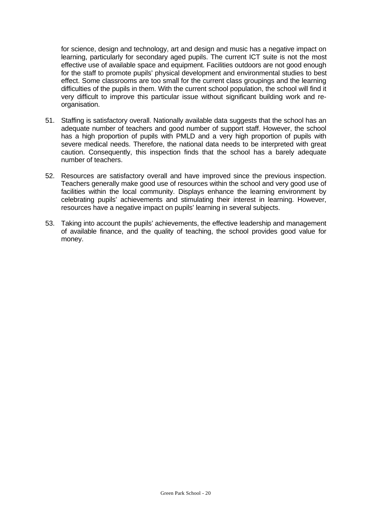for science, design and technology, art and design and music has a negative impact on learning, particularly for secondary aged pupils. The current ICT suite is not the most effective use of available space and equipment. Facilities outdoors are not good enough for the staff to promote pupils' physical development and environmental studies to best effect. Some classrooms are too small for the current class groupings and the learning difficulties of the pupils in them. With the current school population, the school will find it very difficult to improve this particular issue without significant building work and reorganisation.

- 51. Staffing is satisfactory overall. Nationally available data suggests that the school has an adequate number of teachers and good number of support staff. However, the school has a high proportion of pupils with PMLD and a very high proportion of pupils with severe medical needs. Therefore, the national data needs to be interpreted with great caution. Consequently, this inspection finds that the school has a barely adequate number of teachers.
- 52. Resources are satisfactory overall and have improved since the previous inspection. Teachers generally make good use of resources within the school and very good use of facilities within the local community. Displays enhance the learning environment by celebrating pupils' achievements and stimulating their interest in learning. However, resources have a negative impact on pupils' learning in several subjects.
- 53. Taking into account the pupils' achievements, the effective leadership and management of available finance, and the quality of teaching, the school provides good value for money.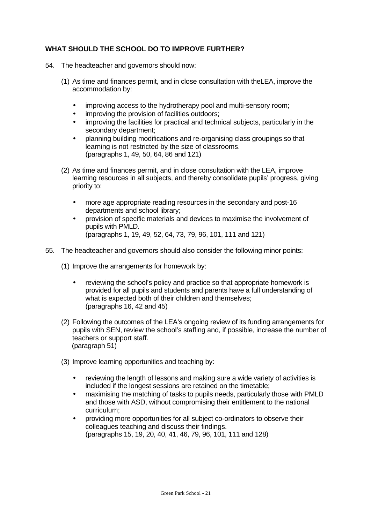## **WHAT SHOULD THE SCHOOL DO TO IMPROVE FURTHER?**

- 54. The headteacher and governors should now:
	- (1) As time and finances permit, and in close consultation with theLEA, improve the accommodation by:
		- improving access to the hydrotherapy pool and multi-sensory room;
		- improving the provision of facilities outdoors;
		- improving the facilities for practical and technical subjects, particularly in the secondary department;
		- planning building modifications and re-organising class groupings so that learning is not restricted by the size of classrooms. (paragraphs 1, 49, 50, 64, 86 and 121)
	- (2) As time and finances permit, and in close consultation with the LEA, improve learning resources in all subjects, and thereby consolidate pupils' progress, giving priority to:
		- more age appropriate reading resources in the secondary and post-16 departments and school library;
		- provision of specific materials and devices to maximise the involvement of pupils with PMLD. (paragraphs 1, 19, 49, 52, 64, 73, 79, 96, 101, 111 and 121)
- 55. The headteacher and governors should also consider the following minor points:
	- (1) Improve the arrangements for homework by:
		- reviewing the school's policy and practice so that appropriate homework is provided for all pupils and students and parents have a full understanding of what is expected both of their children and themselves; (paragraphs 16, 42 and 45)
	- (2) Following the outcomes of the LEA's ongoing review of its funding arrangements for pupils with SEN, review the school's staffing and, if possible, increase the number of teachers or support staff. (paragraph 51)
	- (3) Improve learning opportunities and teaching by:
		- reviewing the length of lessons and making sure a wide variety of activities is included if the longest sessions are retained on the timetable;
		- maximising the matching of tasks to pupils needs, particularly those with PMLD and those with ASD, without compromising their entitlement to the national curriculum;
		- providing more opportunities for all subject co-ordinators to observe their colleagues teaching and discuss their findings. (paragraphs 15, 19, 20, 40, 41, 46, 79, 96, 101, 111 and 128)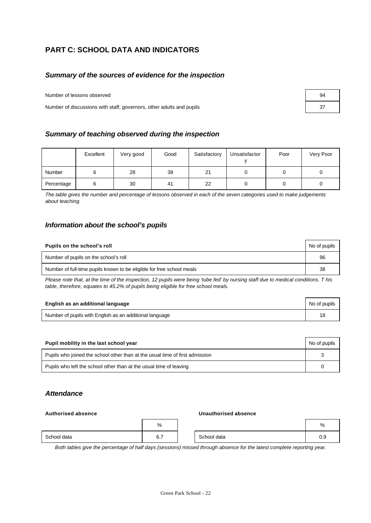# **PART C: SCHOOL DATA AND INDICATORS**

#### *Summary of the sources of evidence for the inspection*

Number of lessons observed

Number of discussions with staff, governors, other adults and pupils

| Summary of teaching observed during the inspection |  |  |  |
|----------------------------------------------------|--|--|--|
|----------------------------------------------------|--|--|--|

|               | Excellent | Very good | Good | Satisfactory | Unsatisfactor | Poor | Very Poor |
|---------------|-----------|-----------|------|--------------|---------------|------|-----------|
| <b>Number</b> | υ         | 28        | 39   | 21           |               |      |           |
| Percentage    |           | 30        | 41   | 22           |               |      |           |

*The table gives the number and percentage of lessons observed in each of the seven categories used to make judgements about teaching.*

#### *Information about the school's pupils*

| Pupils on the school's roll                                           | No of pupils |
|-----------------------------------------------------------------------|--------------|
| Number of pupils on the school's roll                                 | 96           |
| Number of full-time pupils known to be eligible for free school meals | 38           |

*Please note that, at the time of the inspection, 12 pupils were being 'tube fed' by nursing staff due to medical conditions. T his table, therefore, equates to 45.2% of pupils being eligible for free school meals.*

| English as an additional language                       | No of pupils |
|---------------------------------------------------------|--------------|
| Number of pupils with English as an additional language |              |

| Pupil mobility in the last school year                                       | No of pupils |
|------------------------------------------------------------------------------|--------------|
| Pupils who joined the school other than at the usual time of first admission |              |
| Pupils who left the school other than at the usual time of leaving           |              |

## *Attendance*

## **Authorised absence Unauthorised absence**

|  | Unauthorised absence |  |
|--|----------------------|--|
|  |                      |  |

|             | %                           |             | %             |
|-------------|-----------------------------|-------------|---------------|
| School data | $\sim$ $\rightarrow$<br>6.1 | School data | $\sim$<br>U.9 |

*Both tables give the percentage of half days (sessions) missed through absence for the latest complete reporting year.*

| 94 |  |
|----|--|
| 37 |  |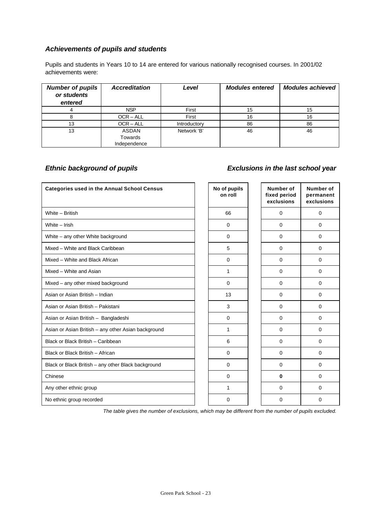# *Achievements of pupils and students*

Pupils and students in Years 10 to 14 are entered for various nationally recognised courses. In 2001/02 achievements were:

| <b>Number of pupils</b><br>or students<br>entered | <b>Accreditation</b> | Level        | <b>Modules entered</b> | <b>Modules achieved</b> |
|---------------------------------------------------|----------------------|--------------|------------------------|-------------------------|
|                                                   | <b>NSP</b>           | First        | 15                     | 15                      |
|                                                   | $OCR - ALL$          | First        | 16                     | 16                      |
| 13                                                | $OCR - ALL$          | Introductory | 86                     | 86                      |
| 13                                                | <b>ASDAN</b>         | Network 'B'  | 46                     | 46                      |
|                                                   | Towards              |              |                        |                         |
|                                                   | Independence         |              |                        |                         |

# *Ethnic background of pupils Exclusions in the last school year*

| <b>Categories used in the Annual School Census</b>  | No of pupils<br>on roll | <b>Number of</b><br>fixed period<br>exclusions | <b>Number of</b><br>permanent<br>exclusions |
|-----------------------------------------------------|-------------------------|------------------------------------------------|---------------------------------------------|
| White - British                                     | 66                      | $\mathbf 0$                                    | $\mathbf 0$                                 |
| White - Irish                                       | $\mathbf 0$             | $\mathbf 0$                                    | $\mathbf 0$                                 |
| White - any other White background                  | $\mathbf 0$             | $\Omega$                                       | $\Omega$                                    |
| Mixed - White and Black Caribbean                   | 5                       | $\mathbf 0$                                    | $\mathbf 0$                                 |
| Mixed - White and Black African                     | $\mathbf 0$             | $\Omega$                                       | 0                                           |
| Mixed - White and Asian                             | 1                       | $\Omega$                                       | $\Omega$                                    |
| Mixed - any other mixed background                  | $\mathbf 0$             | 0                                              | 0                                           |
| Asian or Asian British - Indian                     | 13                      | $\Omega$                                       | $\Omega$                                    |
| Asian or Asian British - Pakistani                  | 3                       | $\Omega$                                       | $\Omega$                                    |
| Asian or Asian British - Bangladeshi                | $\Omega$                | $\Omega$                                       | $\Omega$                                    |
| Asian or Asian British - any other Asian background | $\mathbf{1}$            | $\Omega$                                       | $\Omega$                                    |
| Black or Black British - Caribbean                  | 6                       | $\Omega$                                       | $\Omega$                                    |
| Black or Black British - African                    | $\Omega$                | $\Omega$                                       | $\Omega$                                    |
| Black or Black British - any other Black background | $\mathbf 0$             | $\mathbf 0$                                    | $\mathbf 0$                                 |
| Chinese                                             | $\mathbf 0$             | $\bf{0}$                                       | 0                                           |
| Any other ethnic group                              | $\mathbf{1}$            | $\Omega$                                       | $\mathbf 0$                                 |
| No ethnic group recorded                            | $\Omega$                | 0                                              | 0                                           |

*The table gives the number of exclusions, which may be different from the number of pupils excluded.*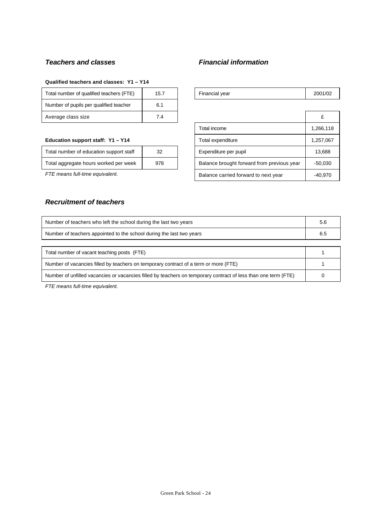## *Teachers and classes Financial information*

#### **Qualified teachers and classes: Y1 – Y14**

| Total number of qualified teachers (FTE) | 15.7 | Financial year | 2001 |
|------------------------------------------|------|----------------|------|
| Number of pupils per qualified teacher   | 6.1  |                |      |
| Average class size                       | 7.4  |                |      |

#### **Education support staff: Y1 - Y14**

| Total number of education support staff | 32  |
|-----------------------------------------|-----|
| Total aggregate hours worked per week   | 978 |

# *Recruitment of teachers*

| Total number of qualified teachers (FTE) | י | <b>Financial vear</b> | 2001 |
|------------------------------------------|---|-----------------------|------|
|------------------------------------------|---|-----------------------|------|

| Average class size                      | 7.4 |  |                                            |           |
|-----------------------------------------|-----|--|--------------------------------------------|-----------|
|                                         |     |  | Total income                               | 1,266,118 |
| Education support staff: Y1 - Y14       |     |  | Total expenditure                          | 1,257,067 |
| Total number of education support staff | 32  |  | Expenditure per pupil                      | 13,688    |
| Total aggregate hours worked per week   | 978 |  | Balance brought forward from previous year | $-50.030$ |
| FTE means full-time equivalent.         |     |  | Balance carried forward to next year       | $-40.970$ |

| Number of teachers who left the school during the last two years                                               | 5.6 |  |  |
|----------------------------------------------------------------------------------------------------------------|-----|--|--|
| Number of teachers appointed to the school during the last two years                                           |     |  |  |
|                                                                                                                |     |  |  |
| Total number of vacant teaching posts (FTE)                                                                    |     |  |  |
| Number of vacancies filled by teachers on temporary contract of a term or more (FTE)                           |     |  |  |
| Number of unfilled vacancies or vacancies filled by teachers on temporary contract of less than one term (FTE) |     |  |  |

*FTE means full-time equivalent.*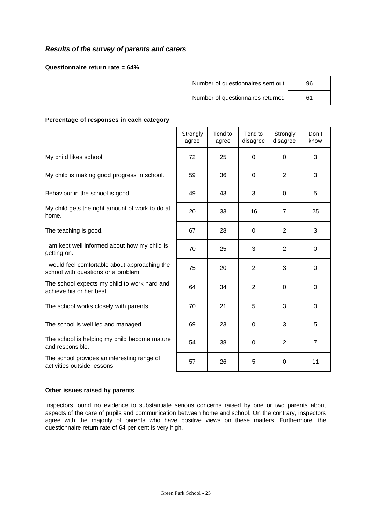## *Results of the survey of parents and carers*

**Questionnaire return rate = 64%**

Number of questionnaires sent out

Number of questionnaires returned

| 96 |  |
|----|--|
| 61 |  |

#### **Percentage of responses in each category**

|                                                                                       | Strongly<br>agree | Tend to<br>agree | Tend to<br>disagree | Strongly<br>disagree | Don't<br>know  |
|---------------------------------------------------------------------------------------|-------------------|------------------|---------------------|----------------------|----------------|
| My child likes school.                                                                | 72                | 25               | $\Omega$            | $\Omega$             | 3              |
| My child is making good progress in school.                                           | 59                | 36               | 0                   | 2                    | 3              |
| Behaviour in the school is good.                                                      | 49                | 43               | 3                   | $\Omega$             | 5              |
| My child gets the right amount of work to do at<br>home.                              | 20                | 33               | 16                  | $\overline{7}$       | 25             |
| The teaching is good.                                                                 | 67                | 28               | 0                   | $\overline{2}$       | 3              |
| I am kept well informed about how my child is<br>getting on.                          | 70                | 25               | 3                   | 2                    | $\mathbf 0$    |
| I would feel comfortable about approaching the<br>school with questions or a problem. | 75                | 20               | 2                   | 3                    | $\mathbf 0$    |
| The school expects my child to work hard and<br>achieve his or her best.              | 64                | 34               | 2                   | $\Omega$             | 0              |
| The school works closely with parents.                                                | 70                | 21               | 5                   | 3                    | 0              |
| The school is well led and managed.                                                   | 69                | 23               | $\Omega$            | 3                    | 5              |
| The school is helping my child become mature<br>and responsible.                      | 54                | 38               | $\Omega$            | $\overline{2}$       | $\overline{7}$ |
| The school provides an interesting range of<br>activities outside lessons.            | 57                | 26               | 5                   | 0                    | 11             |

#### **Other issues raised by parents**

Inspectors found no evidence to substantiate serious concerns raised by one or two parents about aspects of the care of pupils and communication between home and school. On the contrary, inspectors agree with the majority of parents who have positive views on these matters. Furthermore, the questionnaire return rate of 64 per cent is very high.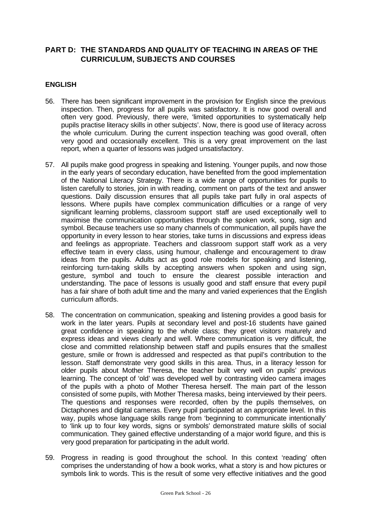## **PART D: THE STANDARDS AND QUALITY OF TEACHING IN AREAS OF THE CURRICULUM, SUBJECTS AND COURSES**

## **ENGLISH**

- 56. There has been significant improvement in the provision for English since the previous inspection. Then, progress for all pupils was satisfactory. It is now good overall and often very good. Previously, there were, 'limited opportunities to systematically help pupils practise literacy skills in other subjects'. Now, there is good use of literacy across the whole curriculum. During the current inspection teaching was good overall, often very good and occasionally excellent. This is a very great improvement on the last report, when a quarter of lessons was judged unsatisfactory.
- 57. All pupils make good progress in speaking and listening. Younger pupils, and now those in the early years of secondary education, have benefited from the good implementation of the National Literacy Strategy. There is a wide range of opportunities for pupils to listen carefully to stories, join in with reading, comment on parts of the text and answer questions. Daily discussion ensures that all pupils take part fully in oral aspects of lessons. Where pupils have complex communication difficulties or a range of very significant learning problems, classroom support staff are used exceptionally well to maximise the communication opportunities through the spoken work, song, sign and symbol. Because teachers use so many channels of communication, all pupils have the opportunity in every lesson to hear stories, take turns in discussions and express ideas and feelings as appropriate. Teachers and classroom support staff work as a very effective team in every class, using humour, challenge and encouragement to draw ideas from the pupils. Adults act as good role models for speaking and listening, reinforcing turn-taking skills by accepting answers when spoken and using sign, gesture, symbol and touch to ensure the clearest possible interaction and understanding. The pace of lessons is usually good and staff ensure that every pupil has a fair share of both adult time and the many and varied experiences that the English curriculum affords.
- 58. The concentration on communication, speaking and listening provides a good basis for work in the later years. Pupils at secondary level and post-16 students have gained great confidence in speaking to the whole class; they greet visitors maturely and express ideas and views clearly and well. Where communication is very difficult, the close and committed relationship between staff and pupils ensures that the smallest gesture, smile or frown is addressed and respected as that pupil's contribution to the lesson. Staff demonstrate very good skills in this area. Thus, in a literacy lesson for older pupils about Mother Theresa, the teacher built very well on pupils' previous learning. The concept of 'old' was developed well by contrasting video camera images of the pupils with a photo of Mother Theresa herself. The main part of the lesson consisted of some pupils, with Mother Theresa masks, being interviewed by their peers. The questions and responses were recorded, often by the pupils themselves, on Dictaphones and digital cameras. Every pupil participated at an appropriate level. In this way, pupils whose language skills range from 'beginning to communicate intentionally' to 'link up to four key words, signs or symbols' demonstrated mature skills of social communication. They gained effective understanding of a major world figure, and this is very good preparation for participating in the adult world.
- 59. Progress in reading is good throughout the school. In this context 'reading' often comprises the understanding of how a book works, what a story is and how pictures or symbols link to words. This is the result of some very effective initiatives and the good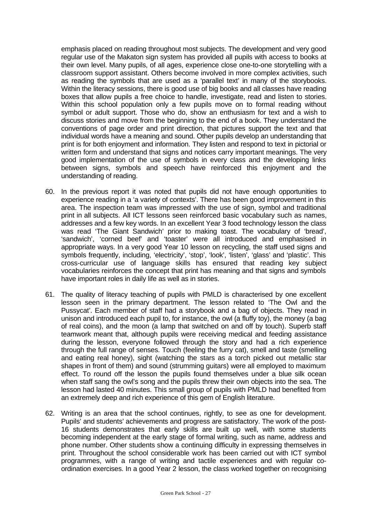emphasis placed on reading throughout most subjects. The development and very good regular use of the Makaton sign system has provided all pupils with access to books at their own level. Many pupils, of all ages, experience close one-to-one storytelling with a classroom support assistant. Others become involved in more complex activities, such as reading the symbols that are used as a 'parallel text' in many of the storybooks. Within the literacy sessions, there is good use of big books and all classes have reading boxes that allow pupils a free choice to handle, investigate, read and listen to stories. Within this school population only a few pupils move on to formal reading without symbol or adult support. Those who do, show an enthusiasm for text and a wish to discuss stories and move from the beginning to the end of a book. They understand the conventions of page order and print direction, that pictures support the text and that individual words have a meaning and sound. Other pupils develop an understanding that print is for both enjoyment and information. They listen and respond to text in pictorial or written form and understand that signs and notices carry important meanings. The very good implementation of the use of symbols in every class and the developing links between signs, symbols and speech have reinforced this enjoyment and the understanding of reading.

- 60. In the previous report it was noted that pupils did not have enough opportunities to experience reading in a 'a variety of contexts'. There has been good improvement in this area. The inspection team was impressed with the use of sign, symbol and traditional print in all subjects. All ICT lessons seen reinforced basic vocabulary such as names, addresses and a few key words. In an excellent Year 3 food technology lesson the class was read 'The Giant Sandwich' prior to making toast. The vocabulary of 'bread', 'sandwich', 'corned beef' and 'toaster' were all introduced and emphasised in appropriate ways. In a very good Year 10 lesson on recycling, the staff used signs and symbols frequently, including, 'electricity', 'stop', 'look', 'listen', 'glass' and 'plastic'. This cross-curricular use of language skills has ensured that reading key subject vocabularies reinforces the concept that print has meaning and that signs and symbols have important roles in daily life as well as in stories.
- 61. The quality of literacy teaching of pupils with PMLD is characterised by one excellent lesson seen in the primary department. The lesson related to 'The Owl and the Pussycat'. Each member of staff had a storybook and a bag of objects. They read in unison and introduced each pupil to, for instance, the owl (a fluffy toy), the money (a bag of real coins), and the moon (a lamp that switched on and off by touch). Superb staff teamwork meant that, although pupils were receiving medical and feeding assistance during the lesson, everyone followed through the story and had a rich experience through the full range of senses. Touch (feeling the furry cat), smell and taste (smelling and eating real honey), sight (watching the stars as a torch picked out metallic star shapes in front of them) and sound (strumming guitars) were all employed to maximum effect. To round off the lesson the pupils found themselves under a blue silk ocean when staff sang the owl's song and the pupils threw their own objects into the sea. The lesson had lasted 40 minutes. This small group of pupils with PMLD had benefited from an extremely deep and rich experience of this gem of English literature.
- 62. Writing is an area that the school continues, rightly, to see as one for development. Pupils' and students' achievements and progress are satisfactory. The work of the post-16 students demonstrates that early skills are built up well, with some students becoming independent at the early stage of formal writing, such as name, address and phone number. Other students show a continuing difficulty in expressing themselves in print. Throughout the school considerable work has been carried out with ICT symbol programmes, with a range of writing and tactile experiences and with regular coordination exercises. In a good Year 2 lesson, the class worked together on recognising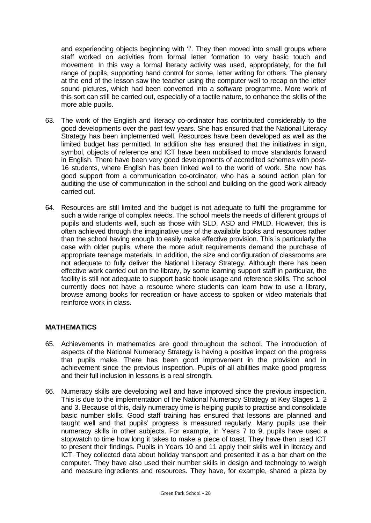and experiencing objects beginning with 'i'. They then moved into small groups where staff worked on activities from formal letter formation to very basic touch and movement. In this way a formal literacy activity was used, appropriately, for the full range of pupils, supporting hand control for some, letter writing for others. The plenary at the end of the lesson saw the teacher using the computer well to recap on the letter sound pictures, which had been converted into a software programme. More work of this sort can still be carried out, especially of a tactile nature, to enhance the skills of the more able pupils.

- 63. The work of the English and literacy co-ordinator has contributed considerably to the good developments over the past few years. She has ensured that the National Literacy Strategy has been implemented well. Resources have been developed as well as the limited budget has permitted. In addition she has ensured that the initiatives in sign, symbol, objects of reference and ICT have been mobilised to move standards forward in English. There have been very good developments of accredited schemes with post-16 students, where English has been linked well to the world of work. She now has good support from a communication co-ordinator, who has a sound action plan for auditing the use of communication in the school and building on the good work already carried out.
- 64. Resources are still limited and the budget is not adequate to fulfil the programme for such a wide range of complex needs. The school meets the needs of different groups of pupils and students well, such as those with SLD, ASD and PMLD. However, this is often achieved through the imaginative use of the available books and resources rather than the school having enough to easily make effective provision. This is particularly the case with older pupils, where the more adult requirements demand the purchase of appropriate teenage materials. In addition, the size and configuration of classrooms are not adequate to fully deliver the National Literacy Strategy. Although there has been effective work carried out on the library, by some learning support staff in particular, the facility is still not adequate to support basic book usage and reference skills. The school currently does not have a resource where students can learn how to use a library, browse among books for recreation or have access to spoken or video materials that reinforce work in class.

### **MATHEMATICS**

- 65. Achievements in mathematics are good throughout the school. The introduction of aspects of the National Numeracy Strategy is having a positive impact on the progress that pupils make. There has been good improvement in the provision and in achievement since the previous inspection. Pupils of all abilities make good progress and their full inclusion in lessons is a real strength.
- 66. Numeracy skills are developing well and have improved since the previous inspection. This is due to the implementation of the National Numeracy Strategy at Key Stages 1, 2 and 3. Because of this, daily numeracy time is helping pupils to practise and consolidate basic number skills. Good staff training has ensured that lessons are planned and taught well and that pupils' progress is measured regularly. Many pupils use their numeracy skills in other subjects. For example, in Years 7 to 9, pupils have used a stopwatch to time how long it takes to make a piece of toast. They have then used ICT to present their findings. Pupils in Years 10 and 11 apply their skills well in literacy and ICT. They collected data about holiday transport and presented it as a bar chart on the computer. They have also used their number skills in design and technology to weigh and measure ingredients and resources. They have, for example, shared a pizza by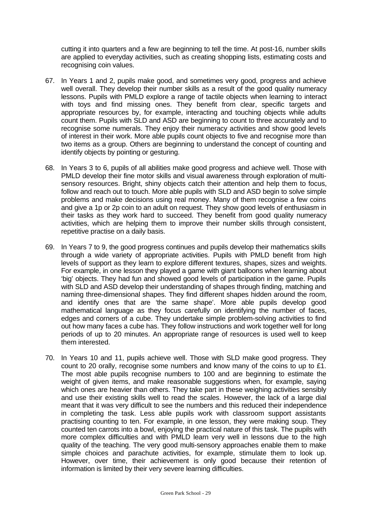cutting it into quarters and a few are beginning to tell the time. At post-16, number skills are applied to everyday activities, such as creating shopping lists, estimating costs and recognising coin values.

- 67. In Years 1 and 2, pupils make good, and sometimes very good, progress and achieve well overall. They develop their number skills as a result of the good quality numeracy lessons. Pupils with PMLD explore a range of tactile objects when learning to interact with toys and find missing ones. They benefit from clear, specific targets and appropriate resources by, for example, interacting and touching objects while adults count them. Pupils with SLD and ASD are beginning to count to three accurately and to recognise some numerals. They enjoy their numeracy activities and show good levels of interest in their work. More able pupils count objects to five and recognise more than two items as a group. Others are beginning to understand the concept of counting and identify objects by pointing or gesturing.
- 68. In Years 3 to 6, pupils of all abilities make good progress and achieve well. Those with PMLD develop their fine motor skills and visual awareness through exploration of multisensory resources. Bright, shiny objects catch their attention and help them to focus, follow and reach out to touch. More able pupils with SLD and ASD begin to solve simple problems and make decisions using real money. Many of them recognise a few coins and give a 1p or 2p coin to an adult on request. They show good levels of enthusiasm in their tasks as they work hard to succeed. They benefit from good quality numeracy activities, which are helping them to improve their number skills through consistent, repetitive practise on a daily basis.
- 69. In Years 7 to 9, the good progress continues and pupils develop their mathematics skills through a wide variety of appropriate activities. Pupils with PMLD benefit from high levels of support as they learn to explore different textures, shapes, sizes and weights. For example, in one lesson they played a game with giant balloons when learning about 'big' objects. They had fun and showed good levels of participation in the game. Pupils with SLD and ASD develop their understanding of shapes through finding, matching and naming three-dimensional shapes. They find different shapes hidden around the room, and identify ones that are 'the same shape'. More able pupils develop good mathematical language as they focus carefully on identifying the number of faces, edges and corners of a cube. They undertake simple problem-solving activities to find out how many faces a cube has. They follow instructions and work together well for long periods of up to 20 minutes. An appropriate range of resources is used well to keep them interested.
- 70. In Years 10 and 11, pupils achieve well. Those with SLD make good progress. They count to 20 orally, recognise some numbers and know many of the coins to up to £1. The most able pupils recognise numbers to 100 and are beginning to estimate the weight of given items, and make reasonable suggestions when, for example, saying which ones are heavier than others. They take part in these weighing activities sensibly and use their existing skills well to read the scales. However, the lack of a large dial meant that it was very difficult to see the numbers and this reduced their independence in completing the task. Less able pupils work with classroom support assistants practising counting to ten. For example, in one lesson, they were making soup. They counted ten carrots into a bowl, enjoying the practical nature of this task. The pupils with more complex difficulties and with PMLD learn very well in lessons due to the high quality of the teaching. The very good multi-sensory approaches enable them to make simple choices and parachute activities, for example, stimulate them to look up. However, over time, their achievement is only good because their retention of information is limited by their very severe learning difficulties.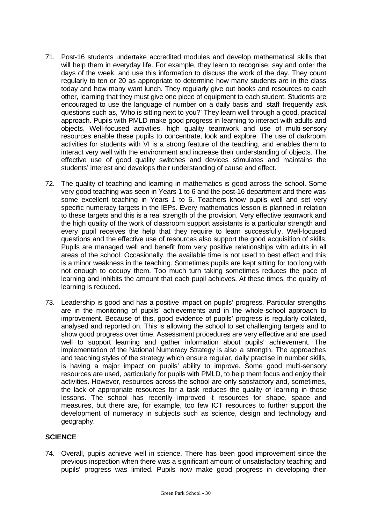- 71. Post-16 students undertake accredited modules and develop mathematical skills that will help them in everyday life. For example, they learn to recognise, say and order the days of the week, and use this information to discuss the work of the day. They count regularly to ten or 20 as appropriate to determine how many students are in the class today and how many want lunch. They regularly give out books and resources to each other, learning that they must give one piece of equipment to each student. Students are encouraged to use the language of number on a daily basis and staff frequently ask questions such as, 'Who is sitting next to you?' They learn well through a good, practical approach. Pupils with PMLD make good progress in learning to interact with adults and objects. Well-focused activities, high quality teamwork and use of multi-sensory resources enable these pupils to concentrate, look and explore. The use of darkroom activities for students with VI is a strong feature of the teaching, and enables them to interact very well with the environment and increase their understanding of objects. The effective use of good quality switches and devices stimulates and maintains the students' interest and develops their understanding of cause and effect.
- 72. The quality of teaching and learning in mathematics is good across the school. Some very good teaching was seen in Years 1 to 6 and the post-16 department and there was some excellent teaching in Years 1 to 6. Teachers know pupils well and set very specific numeracy targets in the IEPs. Every mathematics lesson is planned in relation to these targets and this is a real strength of the provision. Very effective teamwork and the high quality of the work of classroom support assistants is a particular strength and every pupil receives the help that they require to learn successfully. Well-focused questions and the effective use of resources also support the good acquisition of skills. Pupils are managed well and benefit from very positive relationships with adults in all areas of the school. Occasionally, the available time is not used to best effect and this is a minor weakness in the teaching. Sometimes pupils are kept sitting for too long with not enough to occupy them. Too much turn taking sometimes reduces the pace of learning and inhibits the amount that each pupil achieves. At these times, the quality of learning is reduced.
- 73. Leadership is good and has a positive impact on pupils' progress. Particular strengths are in the monitoring of pupils' achievements and in the whole-school approach to improvement. Because of this, good evidence of pupils' progress is regularly collated, analysed and reported on. This is allowing the school to set challenging targets and to show good progress over time. Assessment procedures are very effective and are used well to support learning and gather information about pupils' achievement. The implementation of the National Numeracy Strategy is also a strength. The approaches and teaching styles of the strategy which ensure regular, daily practise in number skills, is having a major impact on pupils' ability to improve. Some good multi-sensory resources are used, particularly for pupils with PMLD, to help them focus and enjoy their activities. However, resources across the school are only satisfactory and, sometimes, the lack of appropriate resources for a task reduces the quality of learning in those lessons. The school has recently improved it resources for shape, space and measures, but there are, for example, too few ICT resources to further support the development of numeracy in subjects such as science, design and technology and geography.

## **SCIENCE**

74. Overall, pupils achieve well in science. There has been good improvement since the previous inspection when there was a significant amount of unsatisfactory teaching and pupils' progress was limited. Pupils now make good progress in developing their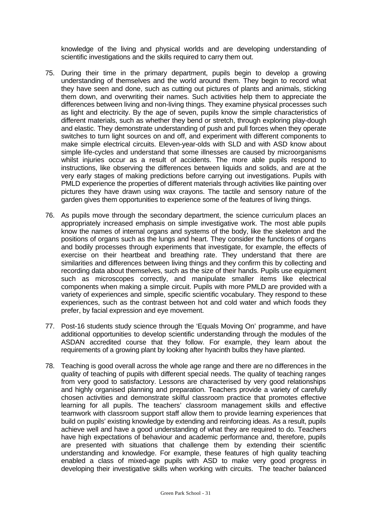knowledge of the living and physical worlds and are developing understanding of scientific investigations and the skills required to carry them out.

- 75. During their time in the primary department, pupils begin to develop a growing understanding of themselves and the world around them. They begin to record what they have seen and done, such as cutting out pictures of plants and animals, sticking them down, and overwriting their names. Such activities help them to appreciate the differences between living and non-living things. They examine physical processes such as light and electricity. By the age of seven, pupils know the simple characteristics of different materials, such as whether they bend or stretch, through exploring play-dough and elastic. They demonstrate understanding of push and pull forces when they operate switches to turn light sources on and off, and experiment with different components to make simple electrical circuits. Eleven-year-olds with SLD and with ASD know about simple life-cycles and understand that some illnesses are caused by microorganisms whilst injuries occur as a result of accidents. The more able pupils respond to instructions, like observing the differences between liquids and solids, and are at the very early stages of making predictions before carrying out investigations. Pupils with PMLD experience the properties of different materials through activities like painting over pictures they have drawn using wax crayons. The tactile and sensory nature of the garden gives them opportunities to experience some of the features of living things.
- 76. As pupils move through the secondary department, the science curriculum places an appropriately increased emphasis on simple investigative work. The most able pupils know the names of internal organs and systems of the body, like the skeleton and the positions of organs such as the lungs and heart. They consider the functions of organs and bodily processes through experiments that investigate, for example, the effects of exercise on their heartbeat and breathing rate. They understand that there are similarities and differences between living things and they confirm this by collecting and recording data about themselves, such as the size of their hands. Pupils use equipment such as microscopes correctly, and manipulate smaller items like electrical components when making a simple circuit. Pupils with more PMLD are provided with a variety of experiences and simple, specific scientific vocabulary. They respond to these experiences, such as the contrast between hot and cold water and which foods they prefer, by facial expression and eye movement.
- 77. Post-16 students study science through the 'Equals Moving On' programme, and have additional opportunities to develop scientific understanding through the modules of the ASDAN accredited course that they follow. For example, they learn about the requirements of a growing plant by looking after hyacinth bulbs they have planted.
- 78. Teaching is good overall across the whole age range and there are no differences in the quality of teaching of pupils with different special needs. The quality of teaching ranges from very good to satisfactory. Lessons are characterised by very good relationships and highly organised planning and preparation. Teachers provide a variety of carefully chosen activities and demonstrate skilful classroom practice that promotes effective learning for all pupils. The teachers' classroom management skills and effective teamwork with classroom support staff allow them to provide learning experiences that build on pupils' existing knowledge by extending and reinforcing ideas. As a result, pupils achieve well and have a good understanding of what they are required to do. Teachers have high expectations of behaviour and academic performance and, therefore, pupils are presented with situations that challenge them by extending their scientific understanding and knowledge. For example, these features of high quality teaching enabled a class of mixed-age pupils with ASD to make very good progress in developing their investigative skills when working with circuits. The teacher balanced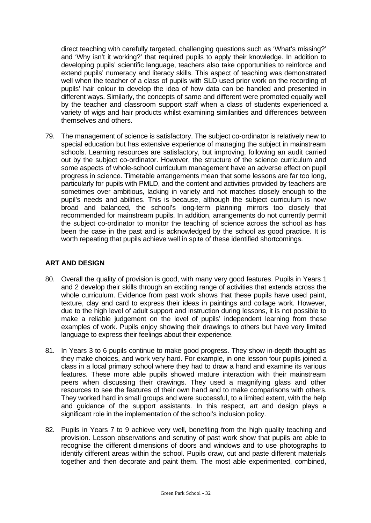direct teaching with carefully targeted, challenging questions such as 'What's missing?' and 'Why isn't it working?' that required pupils to apply their knowledge. In addition to developing pupils' scientific language, teachers also take opportunities to reinforce and extend pupils' numeracy and literacy skills. This aspect of teaching was demonstrated well when the teacher of a class of pupils with SLD used prior work on the recording of pupils' hair colour to develop the idea of how data can be handled and presented in different ways. Similarly, the concepts of same and different were promoted equally well by the teacher and classroom support staff when a class of students experienced a variety of wigs and hair products whilst examining similarities and differences between themselves and others.

79. The management of science is satisfactory. The subject co-ordinator is relatively new to special education but has extensive experience of managing the subject in mainstream schools. Learning resources are satisfactory, but improving, following an audit carried out by the subject co-ordinator. However, the structure of the science curriculum and some aspects of whole-school curriculum management have an adverse effect on pupil progress in science. Timetable arrangements mean that some lessons are far too long, particularly for pupils with PMLD, and the content and activities provided by teachers are sometimes over ambitious, lacking in variety and not matches closely enough to the pupil's needs and abilities. This is because, although the subject curriculum is now broad and balanced, the school's long-term planning mirrors too closely that recommended for mainstream pupils. In addition, arrangements do not currently permit the subject co-ordinator to monitor the teaching of science across the school as has been the case in the past and is acknowledged by the school as good practice. It is worth repeating that pupils achieve well in spite of these identified shortcomings.

## **ART AND DESIGN**

- 80. Overall the quality of provision is good, with many very good features. Pupils in Years 1 and 2 develop their skills through an exciting range of activities that extends across the whole curriculum. Evidence from past work shows that these pupils have used paint, texture, clay and card to express their ideas in paintings and collage work. However, due to the high level of adult support and instruction during lessons, it is not possible to make a reliable judgement on the level of pupils' independent learning from these examples of work. Pupils enjoy showing their drawings to others but have very limited language to express their feelings about their experience.
- 81. In Years 3 to 6 pupils continue to make good progress. They show in-depth thought as they make choices, and work very hard. For example, in one lesson four pupils joined a class in a local primary school where they had to draw a hand and examine its various features. These more able pupils showed mature interaction with their mainstream peers when discussing their drawings. They used a magnifying glass and other resources to see the features of their own hand and to make comparisons with others. They worked hard in small groups and were successful, to a limited extent, with the help and guidance of the support assistants. In this respect, art and design plays a significant role in the implementation of the school's inclusion policy.
- 82. Pupils in Years 7 to 9 achieve very well, benefiting from the high quality teaching and provision. Lesson observations and scrutiny of past work show that pupils are able to recognise the different dimensions of doors and windows and to use photographs to identify different areas within the school. Pupils draw, cut and paste different materials together and then decorate and paint them. The most able experimented, combined,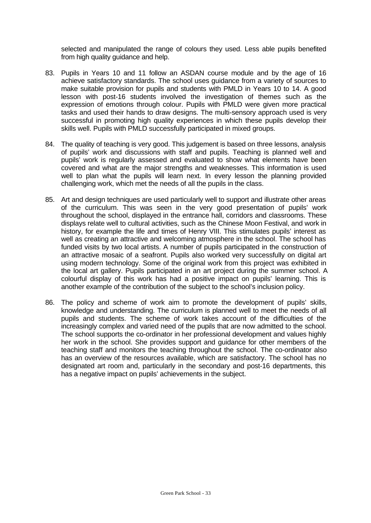selected and manipulated the range of colours they used. Less able pupils benefited from high quality guidance and help.

- 83. Pupils in Years 10 and 11 follow an ASDAN course module and by the age of 16 achieve satisfactory standards. The school uses guidance from a variety of sources to make suitable provision for pupils and students with PMLD in Years 10 to 14. A good lesson with post-16 students involved the investigation of themes such as the expression of emotions through colour. Pupils with PMLD were given more practical tasks and used their hands to draw designs. The multi-sensory approach used is very successful in promoting high quality experiences in which these pupils develop their skills well. Pupils with PMLD successfully participated in mixed groups.
- 84. The quality of teaching is very good. This judgement is based on three lessons, analysis of pupils' work and discussions with staff and pupils. Teaching is planned well and pupils' work is regularly assessed and evaluated to show what elements have been covered and what are the major strengths and weaknesses. This information is used well to plan what the pupils will learn next. In every lesson the planning provided challenging work, which met the needs of all the pupils in the class.
- 85. Art and design techniques are used particularly well to support and illustrate other areas of the curriculum. This was seen in the very good presentation of pupils' work throughout the school, displayed in the entrance hall, corridors and classrooms. These displays relate well to cultural activities, such as the Chinese Moon Festival, and work in history, for example the life and times of Henry VIII. This stimulates pupils' interest as well as creating an attractive and welcoming atmosphere in the school. The school has funded visits by two local artists. A number of pupils participated in the construction of an attractive mosaic of a seafront. Pupils also worked very successfully on digital art using modern technology. Some of the original work from this project was exhibited in the local art gallery. Pupils participated in an art project during the summer school. A colourful display of this work has had a positive impact on pupils' learning. This is another example of the contribution of the subject to the school's inclusion policy.
- 86. The policy and scheme of work aim to promote the development of pupils' skills, knowledge and understanding. The curriculum is planned well to meet the needs of all pupils and students. The scheme of work takes account of the difficulties of the increasingly complex and varied need of the pupils that are now admitted to the school. The school supports the co-ordinator in her professional development and values highly her work in the school. She provides support and guidance for other members of the teaching staff and monitors the teaching throughout the school. The co-ordinator also has an overview of the resources available, which are satisfactory. The school has no designated art room and, particularly in the secondary and post-16 departments, this has a negative impact on pupils' achievements in the subject.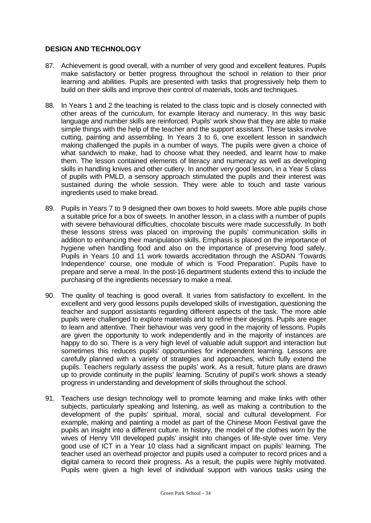## **DESIGN AND TECHNOLOGY**

- 87. Achievement is good overall, with a number of very good and excellent features. Pupils make satisfactory or better progress throughout the school in relation to their prior learning and abilities. Pupils are presented with tasks that progressively help them to build on their skills and improve their control of materials, tools and techniques.
- 88. In Years 1 and 2 the teaching is related to the class topic and is closely connected with other areas of the curriculum, for example literacy and numeracy. In this way basic language and number skills are reinforced. Pupils' work show that they are able to make simple things with the help of the teacher and the support assistant. These tasks involve cutting, painting and assembling. In Years 3 to 6, one excellent lesson in sandwich making challenged the pupils in a number of ways. The pupils were given a choice of what sandwich to make, had to choose what they needed, and learnt how to make them. The lesson contained elements of literacy and numeracy as well as developing skills in handling knives and other cutlery. In another very good lesson, in a Year 5 class of pupils with PMLD, a sensory approach stimulated the pupils and their interest was sustained during the whole session. They were able to touch and taste various ingredients used to make bread.
- 89. Pupils in Years 7 to 9 designed their own boxes to hold sweets. More able pupils chose a suitable price for a box of sweets. In another lesson, in a class with a number of pupils with severe behavioural difficulties, chocolate biscuits were made successfully. In both these lessons stress was placed on improving the pupils' communication skills in addition to enhancing their manipulation skills. Emphasis is placed on the importance of hygiene when handling food and also on the importance of preserving food safely. Pupils in Years 10 and 11 work towards accreditation through the ASDAN 'Towards Independence' course, one module of which is 'Food Preparation'. Pupils have to prepare and serve a meal. In the post-16 department students extend this to include the purchasing of the ingredients necessary to make a meal.
- 90. The quality of teaching is good overall. It varies from satisfactory to excellent. In the excellent and very good lessons pupils developed skills of investigation, questioning the teacher and support assistants regarding different aspects of the task. The more able pupils were challenged to explore materials and to refine their designs. Pupils are eager to learn and attentive. Their behaviour was very good in the majority of lessons. Pupils are given the opportunity to work independently and in the majority of instances are happy to do so. There is a very high level of valuable adult support and interaction but sometimes this reduces pupils' opportunities for independent learning. Lessons are carefully planned with a variety of strategies and approaches, which fully extend the pupils. Teachers regularly assess the pupils' work. As a result, future plans are drawn up to provide continuity in the pupils' learning. Scrutiny of pupil's work shows a steady progress in understanding and development of skills throughout the school.
- 91. Teachers use design technology well to promote learning and make links with other subjects, particularly speaking and listening, as well as making a contribution to the development of the pupils' spiritual, moral, social and cultural development. For example, making and painting a model as part of the Chinese Moon Festival gave the pupils an insight into a different culture. In history, the model of the clothes worn by the wives of Henry VIII developed pupils' insight into changes of life-style over time. Very good use of ICT in a Year 10 class had a significant impact on pupils' learning. The teacher used an overhead projector and pupils used a computer to record prices and a digital camera to record their progress. As a result, the pupils were highly motivated. Pupils were given a high level of individual support with various tasks using the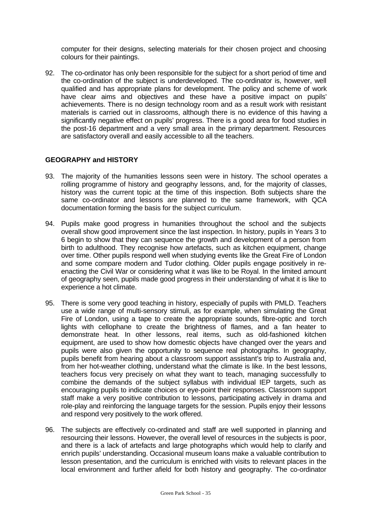computer for their designs, selecting materials for their chosen project and choosing colours for their paintings.

92. The co-ordinator has only been responsible for the subject for a short period of time and the co-ordination of the subject is underdeveloped. The co-ordinator is, however, well qualified and has appropriate plans for development. The policy and scheme of work have clear aims and objectives and these have a positive impact on pupils' achievements. There is no design technology room and as a result work with resistant materials is carried out in classrooms, although there is no evidence of this having a significantly negative effect on pupils' progress. There is a good area for food studies in the post-16 department and a very small area in the primary department. Resources are satisfactory overall and easily accessible to all the teachers.

### **GEOGRAPHY and HISTORY**

- 93. The majority of the humanities lessons seen were in history. The school operates a rolling programme of history and geography lessons, and, for the majority of classes, history was the current topic at the time of this inspection. Both subjects share the same co-ordinator and lessons are planned to the same framework, with QCA documentation forming the basis for the subject curriculum.
- 94. Pupils make good progress in humanities throughout the school and the subjects overall show good improvement since the last inspection. In history, pupils in Years 3 to 6 begin to show that they can sequence the growth and development of a person from birth to adulthood. They recognise how artefacts, such as kitchen equipment, change over time. Other pupils respond well when studying events like the Great Fire of London and some compare modern and Tudor clothing. Older pupils engage positively in reenacting the Civil War or considering what it was like to be Royal. In the limited amount of geography seen, pupils made good progress in their understanding of what it is like to experience a hot climate.
- 95. There is some very good teaching in history, especially of pupils with PMLD. Teachers use a wide range of multi-sensory stimuli, as for example, when simulating the Great Fire of London, using a tape to create the appropriate sounds, fibre-optic and torch lights with cellophane to create the brightness of flames, and a fan heater to demonstrate heat. In other lessons, real items, such as old-fashioned kitchen equipment, are used to show how domestic objects have changed over the years and pupils were also given the opportunity to sequence real photographs. In geography, pupils benefit from hearing about a classroom support assistant's trip to Australia and, from her hot-weather clothing, understand what the climate is like. In the best lessons, teachers focus very precisely on what they want to teach, managing successfully to combine the demands of the subject syllabus with individual IEP targets, such as encouraging pupils to indicate choices or eye-point their responses. Classroom support staff make a very positive contribution to lessons, participating actively in drama and role-play and reinforcing the language targets for the session. Pupils enjoy their lessons and respond very positively to the work offered.
- 96. The subjects are effectively co-ordinated and staff are well supported in planning and resourcing their lessons. However, the overall level of resources in the subjects is poor, and there is a lack of artefacts and large photographs which would help to clarify and enrich pupils' understanding. Occasional museum loans make a valuable contribution to lesson presentation, and the curriculum is enriched with visits to relevant places in the local environment and further afield for both history and geography. The co-ordinator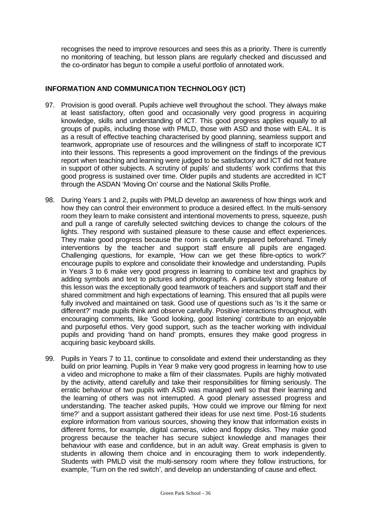recognises the need to improve resources and sees this as a priority. There is currently no monitoring of teaching, but lesson plans are regularly checked and discussed and the co-ordinator has begun to compile a useful portfolio of annotated work.

## **INFORMATION AND COMMUNICATION TECHNOLOGY (ICT)**

- 97. Provision is good overall. Pupils achieve well throughout the school. They always make at least satisfactory, often good and occasionally very good progress in acquiring knowledge, skills and understanding of ICT. This good progress applies equally to all groups of pupils, including those with PMLD, those with ASD and those with EAL. It is as a result of effective teaching characterised by good planning, seamless support and teamwork, appropriate use of resources and the willingness of staff to incorporate ICT into their lessons. This represents a good improvement on the findings of the previous report when teaching and learning were judged to be satisfactory and ICT did not feature in support of other subjects. A scrutiny of pupils' and students' work confirms that this good progress is sustained over time. Older pupils and students are accredited in ICT through the ASDAN 'Moving On' course and the National Skills Profile.
- 98. During Years 1 and 2, pupils with PMLD develop an awareness of how things work and how they can control their environment to produce a desired effect. In the multi-sensory room they learn to make consistent and intentional movements to press, squeeze, push and pull a range of carefully selected switching devices to change the colours of the lights. They respond with sustained pleasure to these cause and effect experiences. They make good progress because the room is carefully prepared beforehand. Timely interventions by the teacher and support staff ensure all pupils are engaged. Challenging questions, for example, 'How can we get these fibre-optics to work?' encourage pupils to explore and consolidate their knowledge and understanding. Pupils in Years 3 to 6 make very good progress in learning to combine text and graphics by adding symbols and text to pictures and photographs. A particularly strong feature of this lesson was the exceptionally good teamwork of teachers and support staff and their shared commitment and high expectations of learning. This ensured that all pupils were fully involved and maintained on task. Good use of questions such as 'Is it the same or different?' made pupils think and observe carefully. Positive interactions throughout, with encouraging comments, like 'Good looking, good listening' contribute to an enjoyable and purposeful ethos. Very good support, such as the teacher working with individual pupils and providing 'hand on hand' prompts, ensures they make good progress in acquiring basic keyboard skills.
- 99. Pupils in Years 7 to 11, continue to consolidate and extend their understanding as they build on prior learning. Pupils in Year 9 make very good progress in learning how to use a video and microphone to make a film of their classmates. Pupils are highly motivated by the activity, attend carefully and take their responsibilities for filming seriously. The erratic behaviour of two pupils with ASD was managed well so that their learning and the learning of others was not interrupted. A good plenary assessed progress and understanding. The teacher asked pupils, 'How could we improve our filming for next time?' and a support assistant gathered their ideas for use next time. Post-16 students explore information from various sources, showing they know that information exists in different forms, for example, digital cameras, video and floppy disks. They make good progress because the teacher has secure subject knowledge and manages their behaviour with ease and confidence, but in an adult way. Great emphasis is given to students in allowing them choice and in encouraging them to work independently. Students with PMLD visit the multi-sensory room where they follow instructions, for example, 'Turn on the red switch', and develop an understanding of cause and effect.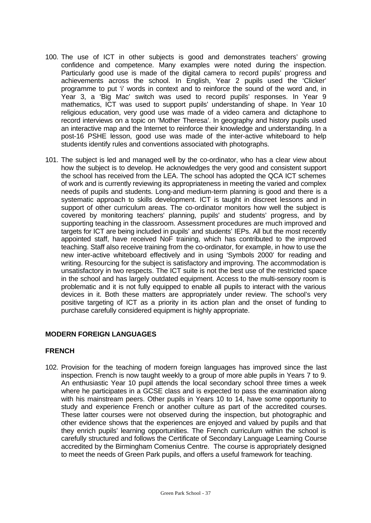- 100. The use of ICT in other subjects is good and demonstrates teachers' growing confidence and competence. Many examples were noted during the inspection. Particularly good use is made of the digital camera to record pupils' progress and achievements across the school. In English, Year 2 pupils used the 'Clicker' programme to put 'i' words in context and to reinforce the sound of the word and, in Year 3, a 'Big Mac' switch was used to record pupils' responses. In Year 9 mathematics, ICT was used to support pupils' understanding of shape. In Year 10 religious education, very good use was made of a video camera and dictaphone to record interviews on a topic on 'Mother Theresa'. In geography and history pupils used an interactive map and the Internet to reinforce their knowledge and understanding. In a post-16 PSHE lesson, good use was made of the inter-active whiteboard to help students identify rules and conventions associated with photographs.
- 101. The subject is led and managed well by the co-ordinator, who has a clear view about how the subject is to develop. He acknowledges the very good and consistent support the school has received from the LEA. The school has adopted the QCA ICT schemes of work and is currently reviewing its appropriateness in meeting the varied and complex needs of pupils and students. Long-and medium-term planning is good and there is a systematic approach to skills development. ICT is taught in discreet lessons and in support of other curriculum areas. The co-ordinator monitors how well the subject is covered by monitoring teachers' planning, pupils' and students' progress, and by supporting teaching in the classroom. Assessment procedures are much improved and targets for ICT are being included in pupils' and students' IEPs. All but the most recently appointed staff, have received NoF training, which has contributed to the improved teaching. Staff also receive training from the co-ordinator, for example, in how to use the new inter-active whiteboard effectively and in using 'Symbols 2000' for reading and writing. Resourcing for the subject is satisfactory and improving. The accommodation is unsatisfactory in two respects. The ICT suite is not the best use of the restricted space in the school and has largely outdated equipment. Access to the multi-sensory room is problematic and it is not fully equipped to enable all pupils to interact with the various devices in it. Both these matters are appropriately under review. The school's very positive targeting of ICT as a priority in its action plan and the onset of funding to purchase carefully considered equipment is highly appropriate.

## **MODERN FOREIGN LANGUAGES**

### **FRENCH**

102. Provision for the teaching of modern foreign languages has improved since the last inspection. French is now taught weekly to a group of more able pupils in Years 7 to 9. An enthusiastic Year 10 pupil attends the local secondary school three times a week where he participates in a GCSE class and is expected to pass the examination along with his mainstream peers. Other pupils in Years 10 to 14, have some opportunity to study and experience French or another culture as part of the accredited courses. These latter courses were not observed during the inspection, but photographic and other evidence shows that the experiences are enjoyed and valued by pupils and that they enrich pupils' learning opportunities. The French curriculum within the school is carefully structured and follows the Certificate of Secondary Language Learning Course accredited by the Birmingham Comenius Centre. The course is appropriately designed to meet the needs of Green Park pupils, and offers a useful framework for teaching.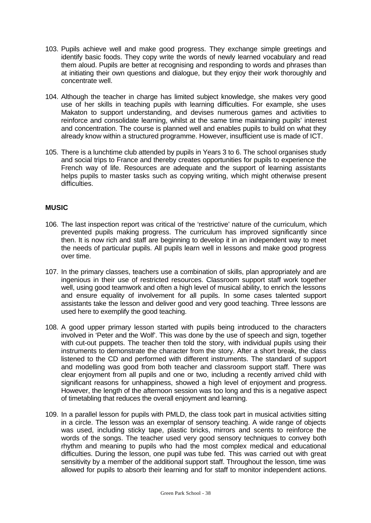- 103. Pupils achieve well and make good progress. They exchange simple greetings and identify basic foods. They copy write the words of newly learned vocabulary and read them aloud. Pupils are better at recognising and responding to words and phrases than at initiating their own questions and dialogue, but they enjoy their work thoroughly and concentrate well.
- 104. Although the teacher in charge has limited subject knowledge, she makes very good use of her skills in teaching pupils with learning difficulties. For example, she uses Makaton to support understanding, and devises numerous games and activities to reinforce and consolidate learning, whilst at the same time maintaining pupils' interest and concentration. The course is planned well and enables pupils to build on what they already know within a structured programme. However, insufficient use is made of ICT.
- 105. There is a lunchtime club attended by pupils in Years 3 to 6. The school organises study and social trips to France and thereby creates opportunities for pupils to experience the French way of life. Resources are adequate and the support of learning assistants helps pupils to master tasks such as copying writing, which might otherwise present difficulties.

## **MUSIC**

- 106. The last inspection report was critical of the 'restrictive' nature of the curriculum, which prevented pupils making progress. The curriculum has improved significantly since then. It is now rich and staff are beginning to develop it in an independent way to meet the needs of particular pupils. All pupils learn well in lessons and make good progress over time.
- 107. In the primary classes, teachers use a combination of skills, plan appropriately and are ingenious in their use of restricted resources. Classroom support staff work together well, using good teamwork and often a high level of musical ability, to enrich the lessons and ensure equality of involvement for all pupils. In some cases talented support assistants take the lesson and deliver good and very good teaching. Three lessons are used here to exemplify the good teaching.
- 108. A good upper primary lesson started with pupils being introduced to the characters involved in 'Peter and the Wolf'. This was done by the use of speech and sign, together with cut-out puppets. The teacher then told the story, with individual pupils using their instruments to demonstrate the character from the story. After a short break, the class listened to the CD and performed with different instruments. The standard of support and modelling was good from both teacher and classroom support staff. There was clear enjoyment from all pupils and one or two, including a recently arrived child with significant reasons for unhappiness, showed a high level of enjoyment and progress. However, the length of the afternoon session was too long and this is a negative aspect of timetabling that reduces the overall enjoyment and learning.
- 109. In a parallel lesson for pupils with PMLD, the class took part in musical activities sitting in a circle. The lesson was an exemplar of sensory teaching. A wide range of objects was used, including sticky tape, plastic bricks, mirrors and scents to reinforce the words of the songs. The teacher used very good sensory techniques to convey both rhythm and meaning to pupils who had the most complex medical and educational difficulties. During the lesson, one pupil was tube fed. This was carried out with great sensitivity by a member of the additional support staff. Throughout the lesson, time was allowed for pupils to absorb their learning and for staff to monitor independent actions.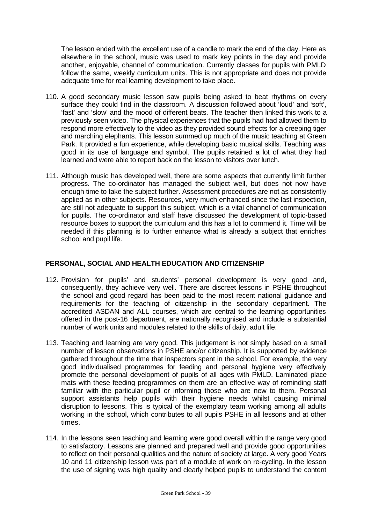The lesson ended with the excellent use of a candle to mark the end of the day. Here as elsewhere in the school, music was used to mark key points in the day and provide another, enjoyable, channel of communication. Currently classes for pupils with PMLD follow the same, weekly curriculum units. This is not appropriate and does not provide adequate time for real learning development to take place.

- 110. A good secondary music lesson saw pupils being asked to beat rhythms on every surface they could find in the classroom. A discussion followed about 'loud' and 'soft', 'fast' and 'slow' and the mood of different beats. The teacher then linked this work to a previously seen video. The physical experiences that the pupils had had allowed them to respond more effectively to the video as they provided sound effects for a creeping tiger and marching elephants. This lesson summed up much of the music teaching at Green Park. It provided a fun experience, while developing basic musical skills. Teaching was good in its use of language and symbol. The pupils retained a lot of what they had learned and were able to report back on the lesson to visitors over lunch.
- 111. Although music has developed well, there are some aspects that currently limit further progress. The co-ordinator has managed the subject well, but does not now have enough time to take the subject further. Assessment procedures are not as consistently applied as in other subjects. Resources, very much enhanced since the last inspection, are still not adequate to support this subject, which is a vital channel of communication for pupils. The co-ordinator and staff have discussed the development of topic-based resource boxes to support the curriculum and this has a lot to commend it. Time will be needed if this planning is to further enhance what is already a subject that enriches school and pupil life.

### **PERSONAL, SOCIAL AND HEALTH EDUCATION AND CITIZENSHIP**

- 112. Provision for pupils' and students' personal development is very good and, consequently, they achieve very well. There are discreet lessons in PSHE throughout the school and good regard has been paid to the most recent national guidance and requirements for the teaching of citizenship in the secondary department. The accredited ASDAN and ALL courses, which are central to the learning opportunities offered in the post-16 department, are nationally recognised and include a substantial number of work units and modules related to the skills of daily, adult life.
- 113. Teaching and learning are very good. This judgement is not simply based on a small number of lesson observations in PSHE and/or citizenship. It is supported by evidence gathered throughout the time that inspectors spent in the school. For example, the very good individualised programmes for feeding and personal hygiene very effectively promote the personal development of pupils of all ages with PMLD. Laminated place mats with these feeding programmes on them are an effective way of reminding staff familiar with the particular pupil or informing those who are new to them. Personal support assistants help pupils with their hygiene needs whilst causing minimal disruption to lessons. This is typical of the exemplary team working among all adults working in the school, which contributes to all pupils PSHE in all lessons and at other times.
- 114. In the lessons seen teaching and learning were good overall within the range very good to satisfactory. Lessons are planned and prepared well and provide good opportunities to reflect on their personal qualities and the nature of society at large. A very good Years 10 and 11 citizenship lesson was part of a module of work on re-cycling. In the lesson the use of signing was high quality and clearly helped pupils to understand the content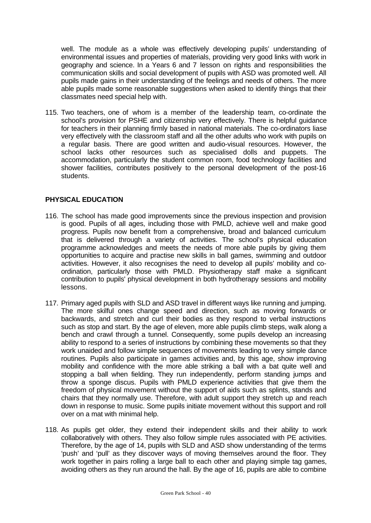well. The module as a whole was effectively developing pupils' understanding of environmental issues and properties of materials, providing very good links with work in geography and science. In a Years 6 and 7 lesson on rights and responsibilities the communication skills and social development of pupils with ASD was promoted well. All pupils made gains in their understanding of the feelings and needs of others. The more able pupils made some reasonable suggestions when asked to identify things that their classmates need special help with.

115. Two teachers, one of whom is a member of the leadership team, co-ordinate the school's provision for PSHE and citizenship very effectively. There is helpful guidance for teachers in their planning firmly based in national materials. The co-ordinators liase very effectively with the classroom staff and all the other adults who work with pupils on a regular basis. There are good written and audio-visual resources. However, the school lacks other resources such as specialised dolls and puppets. The accommodation, particularly the student common room, food technology facilities and shower facilities, contributes positively to the personal development of the post-16 students.

## **PHYSICAL EDUCATION**

- 116. The school has made good improvements since the previous inspection and provision is good. Pupils of all ages, including those with PMLD, achieve well and make good progress. Pupils now benefit from a comprehensive, broad and balanced curriculum that is delivered through a variety of activities. The school's physical education programme acknowledges and meets the needs of more able pupils by giving them opportunities to acquire and practise new skills in ball games, swimming and outdoor activities. However, it also recognises the need to develop all pupils' mobility and coordination, particularly those with PMLD. Physiotherapy staff make a significant contribution to pupils' physical development in both hydrotherapy sessions and mobility lessons.
- 117. Primary aged pupils with SLD and ASD travel in different ways like running and jumping. The more skilful ones change speed and direction, such as moving forwards or backwards, and stretch and curl their bodies as they respond to verbal instructions such as stop and start. By the age of eleven, more able pupils climb steps, walk along a bench and crawl through a tunnel. Consequently, some pupils develop an increasing ability to respond to a series of instructions by combining these movements so that they work unaided and follow simple sequences of movements leading to very simple dance routines. Pupils also participate in games activities and, by this age, show improving mobility and confidence with the more able striking a ball with a bat quite well and stopping a ball when fielding. They run independently, perform standing jumps and throw a sponge discus. Pupils with PMLD experience activities that give them the freedom of physical movement without the support of aids such as splints, stands and chairs that they normally use. Therefore, with adult support they stretch up and reach down in response to music. Some pupils initiate movement without this support and roll over on a mat with minimal help.
- 118. As pupils get older, they extend their independent skills and their ability to work collaboratively with others. They also follow simple rules associated with PE activities. Therefore, by the age of 14, pupils with SLD and ASD show understanding of the terms 'push' and 'pull' as they discover ways of moving themselves around the floor. They work together in pairs rolling a large ball to each other and playing simple tag games, avoiding others as they run around the hall. By the age of 16, pupils are able to combine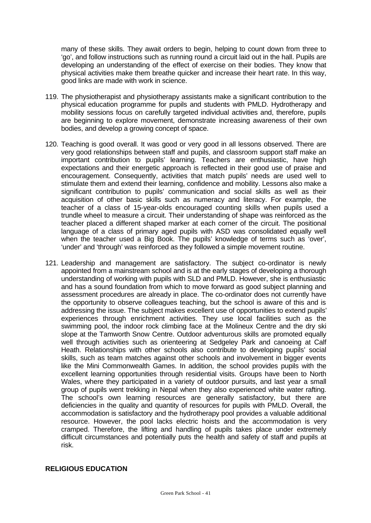many of these skills. They await orders to begin, helping to count down from three to 'go', and follow instructions such as running round a circuit laid out in the hall. Pupils are developing an understanding of the effect of exercise on their bodies. They know that physical activities make them breathe quicker and increase their heart rate. In this way, good links are made with work in science.

- 119. The physiotherapist and physiotherapy assistants make a significant contribution to the physical education programme for pupils and students with PMLD. Hydrotherapy and mobility sessions focus on carefully targeted individual activities and, therefore, pupils are beginning to explore movement, demonstrate increasing awareness of their own bodies, and develop a growing concept of space.
- 120. Teaching is good overall. It was good or very good in all lessons observed. There are very good relationships between staff and pupils, and classroom support staff make an important contribution to pupils' learning. Teachers are enthusiastic, have high expectations and their energetic approach is reflected in their good use of praise and encouragement. Consequently, activities that match pupils' needs are used well to stimulate them and extend their learning, confidence and mobility. Lessons also make a significant contribution to pupils' communication and social skills as well as their acquisition of other basic skills such as numeracy and literacy. For example, the teacher of a class of 15-year-olds encouraged counting skills when pupils used a trundle wheel to measure a circuit. Their understanding of shape was reinforced as the teacher placed a different shaped marker at each corner of the circuit. The positional language of a class of primary aged pupils with ASD was consolidated equally well when the teacher used a Big Book. The pupils' knowledge of terms such as 'over', 'under' and 'through' was reinforced as they followed a simple movement routine.
- 121. Leadership and management are satisfactory. The subject co-ordinator is newly appointed from a mainstream school and is at the early stages of developing a thorough understanding of working with pupils with SLD and PMLD. However, she is enthusiastic and has a sound foundation from which to move forward as good subject planning and assessment procedures are already in place. The co-ordinator does not currently have the opportunity to observe colleagues teaching, but the school is aware of this and is addressing the issue. The subject makes excellent use of opportunities to extend pupils' experiences through enrichment activities. They use local facilities such as the swimming pool, the indoor rock climbing face at the Molineux Centre and the dry ski slope at the Tamworth Snow Centre. Outdoor adventurous skills are promoted equally well through activities such as orienteering at Sedgeley Park and canoeing at Calf Heath. Relationships with other schools also contribute to developing pupils' social skills, such as team matches against other schools and involvement in bigger events like the Mini Commonwealth Games. In addition, the school provides pupils with the excellent learning opportunities through residential visits. Groups have been to North Wales, where they participated in a variety of outdoor pursuits, and last year a small group of pupils went trekking in Nepal when they also experienced white water rafting. The school's own learning resources are generally satisfactory, but there are deficiencies in the quality and quantity of resources for pupils with PMLD. Overall, the accommodation is satisfactory and the hydrotherapy pool provides a valuable additional resource. However, the pool lacks electric hoists and the accommodation is very cramped. Therefore, the lifting and handling of pupils takes place under extremely difficult circumstances and potentially puts the health and safety of staff and pupils at risk.

#### **RELIGIOUS EDUCATION**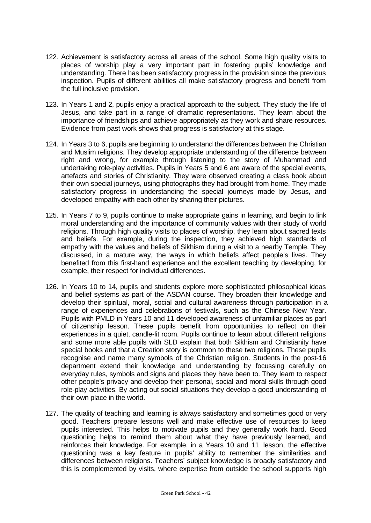- 122. Achievement is satisfactory across all areas of the school. Some high quality visits to places of worship play a very important part in fostering pupils' knowledge and understanding. There has been satisfactory progress in the provision since the previous inspection. Pupils of different abilities all make satisfactory progress and benefit from the full inclusive provision.
- 123. In Years 1 and 2, pupils enjoy a practical approach to the subject. They study the life of Jesus, and take part in a range of dramatic representations. They learn about the importance of friendships and achieve appropriately as they work and share resources. Evidence from past work shows that progress is satisfactory at this stage.
- 124. In Years 3 to 6, pupils are beginning to understand the differences between the Christian and Muslim religions. They develop appropriate understanding of the difference between right and wrong, for example through listening to the story of Muhammad and undertaking role-play activities. Pupils in Years 5 and 6 are aware of the special events, artefacts and stories of Christianity. They were observed creating a class book about their own special journeys, using photographs they had brought from home. They made satisfactory progress in understanding the special journeys made by Jesus, and developed empathy with each other by sharing their pictures.
- 125. In Years 7 to 9, pupils continue to make appropriate gains in learning, and begin to link moral understanding and the importance of community values with their study of world religions. Through high quality visits to places of worship, they learn about sacred texts and beliefs. For example, during the inspection, they achieved high standards of empathy with the values and beliefs of Sikhism during a visit to a nearby Temple. They discussed, in a mature way, the ways in which beliefs affect people's lives. They benefited from this first-hand experience and the excellent teaching by developing, for example, their respect for individual differences.
- 126. In Years 10 to 14, pupils and students explore more sophisticated philosophical ideas and belief systems as part of the ASDAN course. They broaden their knowledge and develop their spiritual, moral, social and cultural awareness through participation in a range of experiences and celebrations of festivals, such as the Chinese New Year. Pupils with PMLD in Years 10 and 11 developed awareness of unfamiliar places as part of citizenship lesson. These pupils benefit from opportunities to reflect on their experiences in a quiet, candle-lit room. Pupils continue to learn about different religions and some more able pupils with SLD explain that both Sikhism and Christianity have special books and that a Creation story is common to these two religions. These pupils recognise and name many symbols of the Christian religion. Students in the post-16 department extend their knowledge and understanding by focussing carefully on everyday rules, symbols and signs and places they have been to. They learn to respect other people's privacy and develop their personal, social and moral skills through good role-play activities. By acting out social situations they develop a good understanding of their own place in the world.
- 127. The quality of teaching and learning is always satisfactory and sometimes good or very good. Teachers prepare lessons well and make effective use of resources to keep pupils interested. This helps to motivate pupils and they generally work hard. Good questioning helps to remind them about what they have previously learned, and reinforces their knowledge. For example, in a Years 10 and 11 lesson, the effective questioning was a key feature in pupils' ability to remember the similarities and differences between religions. Teachers' subject knowledge is broadly satisfactory and this is complemented by visits, where expertise from outside the school supports high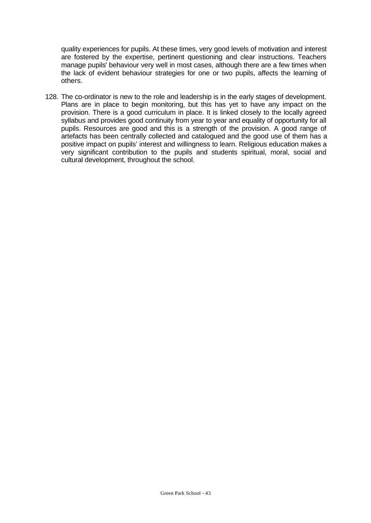quality experiences for pupils. At these times, very good levels of motivation and interest are fostered by the expertise, pertinent questioning and clear instructions. Teachers manage pupils' behaviour very well in most cases, although there are a few times when the lack of evident behaviour strategies for one or two pupils, affects the learning of others.

128. The co-ordinator is new to the role and leadership is in the early stages of development. Plans are in place to begin monitoring, but this has yet to have any impact on the provision. There is a good curriculum in place. It is linked closely to the locally agreed syllabus and provides good continuity from year to year and equality of opportunity for all pupils. Resources are good and this is a strength of the provision. A good range of artefacts has been centrally collected and catalogued and the good use of them has a positive impact on pupils' interest and willingness to learn. Religious education makes a very significant contribution to the pupils and students spiritual, moral, social and cultural development, throughout the school.